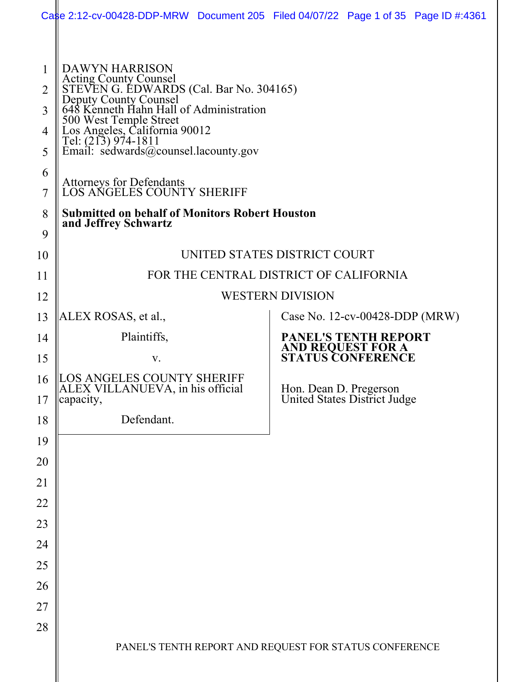|                                 | Case 2:12-cv-00428-DDP-MRW Document 205 Filed 04/07/22 Page 1 of 35 Page ID #:4361                                                                                                                                                                                                                                                                                                                                                 |  |  |                                                        |  |  |
|---------------------------------|------------------------------------------------------------------------------------------------------------------------------------------------------------------------------------------------------------------------------------------------------------------------------------------------------------------------------------------------------------------------------------------------------------------------------------|--|--|--------------------------------------------------------|--|--|
| 2<br>3<br>4<br>5<br>6<br>7<br>8 | <b>DAWYN HARRISON</b><br>Acting County Counsel<br>STEVEN G. EDWARDS (Cal. Bar No. 304165)<br>Deputy County Counsel<br>648 Kenneth Hahn Hall of Administration<br>500 West Temple Street<br>Los Angeles, California 90012<br>Tel: (213) 974-1811<br>Email: sedwards@counsel.lacounty.gov<br>Attorneys for Defendants<br>LOS ANGELES COUNTY SHERIFF<br><b>Submitted on behalf of Monitors Robert Houston</b><br>and Jeffrey Schwartz |  |  |                                                        |  |  |
| 9                               |                                                                                                                                                                                                                                                                                                                                                                                                                                    |  |  |                                                        |  |  |
| 10                              | UNITED STATES DISTRICT COURT                                                                                                                                                                                                                                                                                                                                                                                                       |  |  |                                                        |  |  |
| 11<br>12                        | FOR THE CENTRAL DISTRICT OF CALIFORNIA<br><b>WESTERN DIVISION</b>                                                                                                                                                                                                                                                                                                                                                                  |  |  |                                                        |  |  |
| 13                              | ALEX ROSAS, et al.,<br>Case No. $12$ -cv-00428-DDP (MRW)                                                                                                                                                                                                                                                                                                                                                                           |  |  |                                                        |  |  |
| 14                              | Plaintiffs,                                                                                                                                                                                                                                                                                                                                                                                                                        |  |  | <b>PANEL'S TENTH REPORT</b>                            |  |  |
| 15                              | V.                                                                                                                                                                                                                                                                                                                                                                                                                                 |  |  | <b>AND REQUEST FOR A<br/>STATUS CONFERENCE</b>         |  |  |
| 16<br>17                        | LOS ANGELES COUNTY SHERIFF<br>ALEX VILLANUEVA, in his official<br>capacity,                                                                                                                                                                                                                                                                                                                                                        |  |  | Hon. Dean D. Pregerson<br>United States District Judge |  |  |
| 18                              | Defendant.                                                                                                                                                                                                                                                                                                                                                                                                                         |  |  |                                                        |  |  |
| 19                              |                                                                                                                                                                                                                                                                                                                                                                                                                                    |  |  |                                                        |  |  |
| 20                              |                                                                                                                                                                                                                                                                                                                                                                                                                                    |  |  |                                                        |  |  |
| 21                              |                                                                                                                                                                                                                                                                                                                                                                                                                                    |  |  |                                                        |  |  |
| 22                              |                                                                                                                                                                                                                                                                                                                                                                                                                                    |  |  |                                                        |  |  |
| 23                              |                                                                                                                                                                                                                                                                                                                                                                                                                                    |  |  |                                                        |  |  |
| 24                              |                                                                                                                                                                                                                                                                                                                                                                                                                                    |  |  |                                                        |  |  |
| 25                              |                                                                                                                                                                                                                                                                                                                                                                                                                                    |  |  |                                                        |  |  |
| 26                              |                                                                                                                                                                                                                                                                                                                                                                                                                                    |  |  |                                                        |  |  |
| 27<br>28                        |                                                                                                                                                                                                                                                                                                                                                                                                                                    |  |  |                                                        |  |  |
|                                 | PANEL'S TENTH REPORT AND REQUEST FOR STATUS CONFERENCE                                                                                                                                                                                                                                                                                                                                                                             |  |  |                                                        |  |  |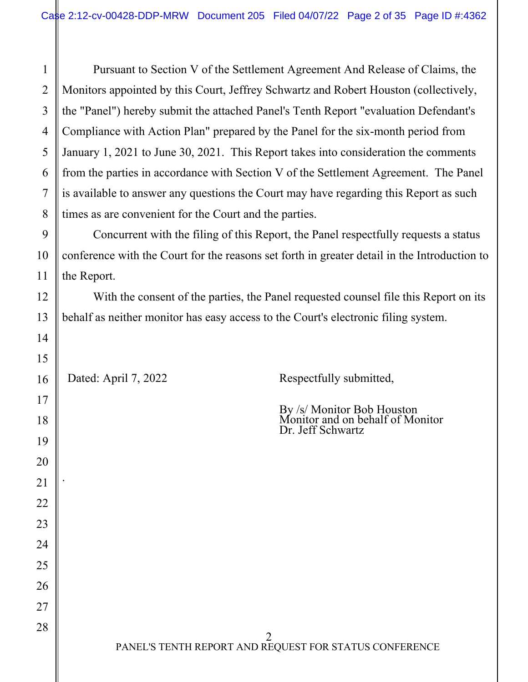Pursuant to Section V of the Settlement Agreement And Release of Claims, the Monitors appointed by this Court, Jeffrey Schwartz and Robert Houston (collectively, the "Panel") hereby submit the attached Panel's Tenth Report "evaluation Defendant's Compliance with Action Plan" prepared by the Panel for the six-month period from January 1, 2021 to June 30, 2021. This Report takes into consideration the comments from the parties in accordance with Section V of the Settlement Agreement. The Panel is available to answer any questions the Court may have regarding this Report as such times as are convenient for the Court and the parties.

Concurrent with the filing of this Report, the Panel respectfully requests a status conference with the Court for the reasons set forth in greater detail in the Introduction to the Report.

With the consent of the parties, the Panel requested counsel file this Report on its behalf as neither monitor has easy access to the Court's electronic filing system.

Dated: April 7, 2022 Respectfully submitted,

By /s/ Monitor Bob Houston Monitor and on behalf of Monitor Dr. Jeff Schwartz

.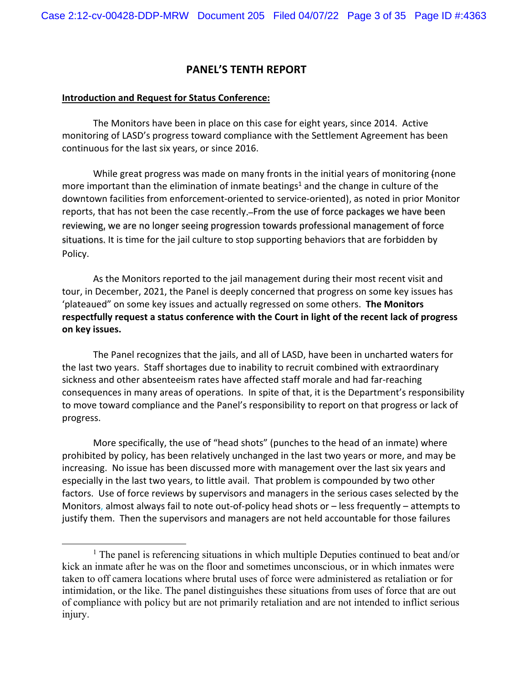# **PANEL'S TENTH REPORT**

#### **Introduction and Request for Status Conference:**

The Monitors have been in place on this case for eight years, since 2014. Active monitoring of LASD's progress toward compliance with the Settlement Agreement has been continuous for the last six years, or since 2016.

While great progress was made on many fronts in the initial years of monitoring (none more important than the elimination of inmate beatings<sup>1</sup> and the change in culture of the downtown facilities from enforcement‐oriented to service‐oriented), as noted in prior Monitor reports, that has not been the case recently. From the use of force packages we have been reviewing, we are no longer seeing progression towards professional management of force situations. It is time for the jail culture to stop supporting behaviors that are forbidden by Policy.

As the Monitors reported to the jail management during their most recent visit and tour, in December, 2021, the Panel is deeply concerned that progress on some key issues has 'plateaued" on some key issues and actually regressed on some others. **The Monitors respectfully request a status conference with the Court in light of the recent lack of progress on key issues.**

The Panel recognizes that the jails, and all of LASD, have been in uncharted waters for the last two years. Staff shortages due to inability to recruit combined with extraordinary sickness and other absenteeism rates have affected staff morale and had far‐reaching consequences in many areas of operations. In spite of that, it is the Department's responsibility to move toward compliance and the Panel's responsibility to report on that progress or lack of progress.

More specifically, the use of "head shots" (punches to the head of an inmate) where prohibited by policy, has been relatively unchanged in the last two years or more, and may be increasing. No issue has been discussed more with management over the last six years and especially in the last two years, to little avail. That problem is compounded by two other factors. Use of force reviews by supervisors and managers in the serious cases selected by the Monitors, almost always fail to note out-of-policy head shots or – less frequently – attempts to justify them. Then the supervisors and managers are not held accountable for those failures

 $\begin{array}{c}\n\hline\n\hline\n\hline\n\hline\n\hline\n\end{array}$  $<sup>1</sup>$  The panel is referencing situations in which multiple Deputies continued to beat and/or</sup> kick an inmate after he was on the floor and sometimes unconscious, or in which inmates were taken to off camera locations where brutal uses of force were administered as retaliation or for intimidation, or the like. The panel distinguishes these situations from uses of force that are out of compliance with policy but are not primarily retaliation and are not intended to inflict serious injury.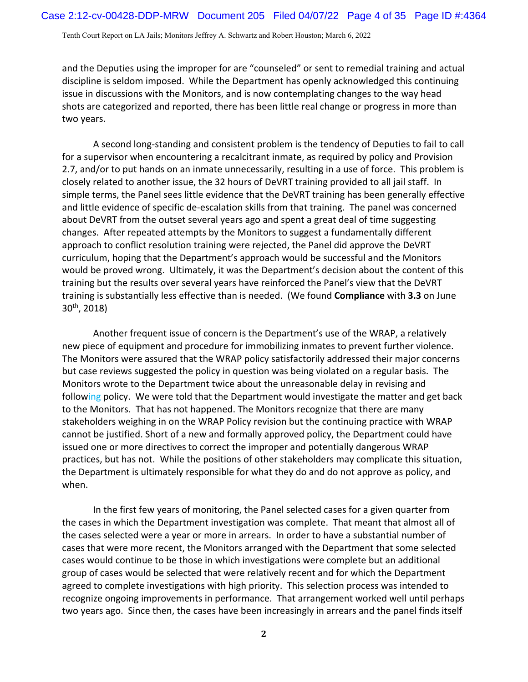and the Deputies using the improper for are "counseled" or sent to remedial training and actual discipline is seldom imposed. While the Department has openly acknowledged this continuing issue in discussions with the Monitors, and is now contemplating changes to the way head shots are categorized and reported, there has been little real change or progress in more than two years.

A second long‐standing and consistent problem is the tendency of Deputies to fail to call for a supervisor when encountering a recalcitrant inmate, as required by policy and Provision 2.7, and/or to put hands on an inmate unnecessarily, resulting in a use of force. This problem is closely related to another issue, the 32 hours of DeVRT training provided to all jail staff. In simple terms, the Panel sees little evidence that the DeVRT training has been generally effective and little evidence of specific de‐escalation skills from that training. The panel was concerned about DeVRT from the outset several years ago and spent a great deal of time suggesting changes. After repeated attempts by the Monitors to suggest a fundamentally different approach to conflict resolution training were rejected, the Panel did approve the DeVRT curriculum, hoping that the Department's approach would be successful and the Monitors would be proved wrong. Ultimately, it was the Department's decision about the content of this training but the results over several years have reinforced the Panel's view that the DeVRT training is substantially less effective than is needed. (We found **Compliance** with **3.3** on June 30th, 2018)

Another frequent issue of concern is the Department's use of the WRAP, a relatively new piece of equipment and procedure for immobilizing inmates to prevent further violence. The Monitors were assured that the WRAP policy satisfactorily addressed their major concerns but case reviews suggested the policy in question was being violated on a regular basis. The Monitors wrote to the Department twice about the unreasonable delay in revising and following policy. We were told that the Department would investigate the matter and get back to the Monitors. That has not happened. The Monitors recognize that there are many stakeholders weighing in on the WRAP Policy revision but the continuing practice with WRAP cannot be justified. Short of a new and formally approved policy, the Department could have issued one or more directives to correct the improper and potentially dangerous WRAP practices, but has not. While the positions of other stakeholders may complicate this situation, the Department is ultimately responsible for what they do and do not approve as policy, and when.

In the first few years of monitoring, the Panel selected cases for a given quarter from the cases in which the Department investigation was complete. That meant that almost all of the cases selected were a year or more in arrears. In order to have a substantial number of cases that were more recent, the Monitors arranged with the Department that some selected cases would continue to be those in which investigations were complete but an additional group of cases would be selected that were relatively recent and for which the Department agreed to complete investigations with high priority. This selection process was intended to recognize ongoing improvements in performance. That arrangement worked well until perhaps two years ago. Since then, the cases have been increasingly in arrears and the panel finds itself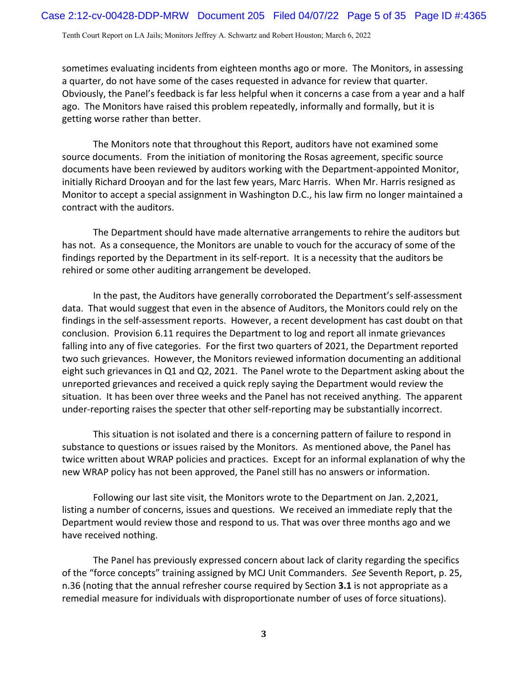sometimes evaluating incidents from eighteen months ago or more. The Monitors, in assessing a quarter, do not have some of the cases requested in advance for review that quarter. Obviously, the Panel's feedback is far less helpful when it concerns a case from a year and a half ago. The Monitors have raised this problem repeatedly, informally and formally, but it is getting worse rather than better.

The Monitors note that throughout this Report, auditors have not examined some source documents. From the initiation of monitoring the Rosas agreement, specific source documents have been reviewed by auditors working with the Department‐appointed Monitor, initially Richard Drooyan and for the last few years, Marc Harris. When Mr. Harris resigned as Monitor to accept a special assignment in Washington D.C., his law firm no longer maintained a contract with the auditors.

The Department should have made alternative arrangements to rehire the auditors but has not. As a consequence, the Monitors are unable to vouch for the accuracy of some of the findings reported by the Department in its self‐report. It is a necessity that the auditors be rehired or some other auditing arrangement be developed.

In the past, the Auditors have generally corroborated the Department's self‐assessment data. That would suggest that even in the absence of Auditors, the Monitors could rely on the findings in the self‐assessment reports. However, a recent development has cast doubt on that conclusion. Provision 6.11 requires the Department to log and report all inmate grievances falling into any of five categories. For the first two quarters of 2021, the Department reported two such grievances. However, the Monitors reviewed information documenting an additional eight such grievances in Q1 and Q2, 2021. The Panel wrote to the Department asking about the unreported grievances and received a quick reply saying the Department would review the situation. It has been over three weeks and the Panel has not received anything. The apparent under-reporting raises the specter that other self-reporting may be substantially incorrect.

This situation is not isolated and there is a concerning pattern of failure to respond in substance to questions or issues raised by the Monitors. As mentioned above, the Panel has twice written about WRAP policies and practices. Except for an informal explanation of why the new WRAP policy has not been approved, the Panel still has no answers or information.

Following our last site visit, the Monitors wrote to the Department on Jan. 2,2021, listing a number of concerns, issues and questions. We received an immediate reply that the Department would review those and respond to us. That was over three months ago and we have received nothing.

The Panel has previously expressed concern about lack of clarity regarding the specifics of the "force concepts" training assigned by MCJ Unit Commanders. *See* Seventh Report, p. 25, n.36 (noting that the annual refresher course required by Section **3.1** is not appropriate as a remedial measure for individuals with disproportionate number of uses of force situations).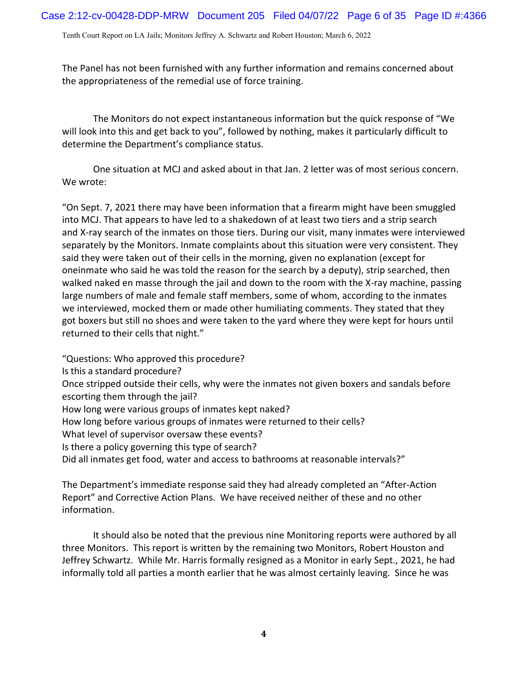The Panel has not been furnished with any further information and remains concerned about the appropriateness of the remedial use of force training.

The Monitors do not expect instantaneous information but the quick response of "We will look into this and get back to you", followed by nothing, makes it particularly difficult to determine the Department's compliance status.

One situation at MCJ and asked about in that Jan. 2 letter was of most serious concern. We wrote:

"On Sept. 7, 2021 there may have been information that a firearm might have been smuggled into MCJ. That appears to have led to a shakedown of at least two tiers and a strip search and X-ray search of the inmates on those tiers. During our visit, many inmates were interviewed separately by the Monitors. Inmate complaints about this situation were very consistent. They said they were taken out of their cells in the morning, given no explanation (except for one inmate who said he was told the reason for the search by a deputy), strip searched, then walked naked en masse through the jail and down to the room with the X-ray machine, passing large numbers of male and female staff members, some of whom, according to the inmates we interviewed, mocked them or made other humiliating comments. They stated that they got boxers but still no shoes and were taken to the yard where they were kept for hours until returned to their cells that night."

"Questions: Who approved this procedure?

Is this a standard procedure?

Once stripped outside their cells, why were the inmates not given boxers and sandals before escorting them through the jail?

How long were various groups of inmates kept naked?

How long before various groups of inmates were returned to their cells?

What level of supervisor oversaw these events?

Is there a policy governing this type of search?

Did all inmates get food, water and access to bathrooms at reasonable intervals?"

The Department's immediate response said they had already completed an "After‐Action Report" and Corrective Action Plans. We have received neither of these and no other information.

It should also be noted that the previous nine Monitoring reports were authored by all three Monitors. This report is written by the remaining two Monitors, Robert Houston and Jeffrey Schwartz. While Mr. Harris formally resigned as a Monitor in early Sept., 2021, he had informally told all parties a month earlier that he was almost certainly leaving. Since he was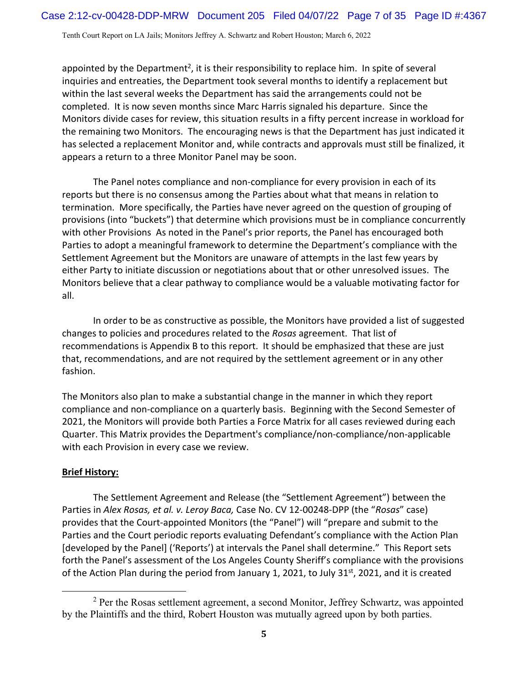appointed by the Department<sup>2</sup>, it is their responsibility to replace him. In spite of several inquiries and entreaties, the Department took several months to identify a replacement but within the last several weeks the Department has said the arrangements could not be completed. It is now seven months since Marc Harris signaled his departure. Since the Monitors divide cases for review, this situation results in a fifty percent increase in workload for the remaining two Monitors. The encouraging news is that the Department has just indicated it has selected a replacement Monitor and, while contracts and approvals must still be finalized, it appears a return to a three Monitor Panel may be soon.

The Panel notes compliance and non‐compliance for every provision in each of its reports but there is no consensus among the Parties about what that means in relation to termination. More specifically, the Parties have never agreed on the question of grouping of provisions (into "buckets") that determine which provisions must be in compliance concurrently with other Provisions As noted in the Panel's prior reports, the Panel has encouraged both Parties to adopt a meaningful framework to determine the Department's compliance with the Settlement Agreement but the Monitors are unaware of attempts in the last few years by either Party to initiate discussion or negotiations about that or other unresolved issues. The Monitors believe that a clear pathway to compliance would be a valuable motivating factor for all.

In order to be as constructive as possible, the Monitors have provided a list of suggested changes to policies and procedures related to the *Rosas* agreement. That list of recommendations is Appendix B to this report. It should be emphasized that these are just that, recommendations, and are not required by the settlement agreement or in any other fashion.

The Monitors also plan to make a substantial change in the manner in which they report compliance and non‐compliance on a quarterly basis. Beginning with the Second Semester of 2021, the Monitors will provide both Parties a Force Matrix for all cases reviewed during each Quarter. This Matrix provides the Department's compliance/non‐compliance/non‐applicable with each Provision in every case we review.

#### **Brief History:**

The Settlement Agreement and Release (the "Settlement Agreement") between the Parties in *Alex Rosas, et al. v. Leroy Baca,* Case No. CV 12‐00248‐DPP (the "*Rosas*" case) provides that the Court‐appointed Monitors (the "Panel") will "prepare and submit to the Parties and the Court periodic reports evaluating Defendant's compliance with the Action Plan [developed by the Panel] ('Reports') at intervals the Panel shall determine." This Report sets forth the Panel's assessment of the Los Angeles County Sheriff's compliance with the provisions of the Action Plan during the period from January 1, 2021, to July 31<sup>st</sup>, 2021, and it is created

 <sup>2</sup> <sup>2</sup> Per the Rosas settlement agreement, a second Monitor, Jeffrey Schwartz, was appointed by the Plaintiffs and the third, Robert Houston was mutually agreed upon by both parties.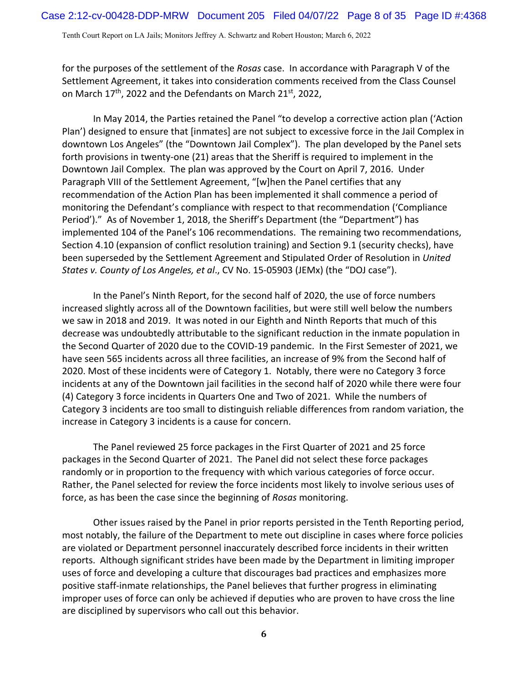for the purposes of the settlement of the *Rosas* case. In accordance with Paragraph V of the Settlement Agreement, it takes into consideration comments received from the Class Counsel on March 17<sup>th</sup>, 2022 and the Defendants on March 21<sup>st</sup>, 2022,

In May 2014, the Parties retained the Panel "to develop a corrective action plan ('Action Plan') designed to ensure that [inmates] are not subject to excessive force in the Jail Complex in downtown Los Angeles" (the "Downtown Jail Complex"). The plan developed by the Panel sets forth provisions in twenty-one (21) areas that the Sheriff is required to implement in the Downtown Jail Complex. The plan was approved by the Court on April 7, 2016. Under Paragraph VIII of the Settlement Agreement, "[w]hen the Panel certifies that any recommendation of the Action Plan has been implemented it shall commence a period of monitoring the Defendant's compliance with respect to that recommendation ('Compliance Period')." As of November 1, 2018, the Sheriff's Department (the "Department") has implemented 104 of the Panel's 106 recommendations. The remaining two recommendations, Section 4.10 (expansion of conflict resolution training) and Section 9.1 (security checks), have been superseded by the Settlement Agreement and Stipulated Order of Resolution in *United States v. County of Los Angeles, et al*., CV No. 15‐05903 (JEMx) (the "DOJ case").

In the Panel's Ninth Report, for the second half of 2020, the use of force numbers increased slightly across all of the Downtown facilities, but were still well below the numbers we saw in 2018 and 2019. It was noted in our Eighth and Ninth Reports that much of this decrease was undoubtedly attributable to the significant reduction in the inmate population in the Second Quarter of 2020 due to the COVID‐19 pandemic. In the First Semester of 2021, we have seen 565 incidents across all three facilities, an increase of 9% from the Second half of 2020. Most of these incidents were of Category 1. Notably, there were no Category 3 force incidents at any of the Downtown jail facilities in the second half of 2020 while there were four (4) Category 3 force incidents in Quarters One and Two of 2021. While the numbers of Category 3 incidents are too small to distinguish reliable differences from random variation, the increase in Category 3 incidents is a cause for concern.

The Panel reviewed 25 force packages in the First Quarter of 2021 and 25 force packages in the Second Quarter of 2021. The Panel did not select these force packages randomly or in proportion to the frequency with which various categories of force occur. Rather, the Panel selected for review the force incidents most likely to involve serious uses of force, as has been the case since the beginning of *Rosas* monitoring.

Other issues raised by the Panel in prior reports persisted in the Tenth Reporting period, most notably, the failure of the Department to mete out discipline in cases where force policies are violated or Department personnel inaccurately described force incidents in their written reports. Although significant strides have been made by the Department in limiting improper uses of force and developing a culture that discourages bad practices and emphasizes more positive staff-inmate relationships, the Panel believes that further progress in eliminating improper uses of force can only be achieved if deputies who are proven to have cross the line are disciplined by supervisors who call out this behavior.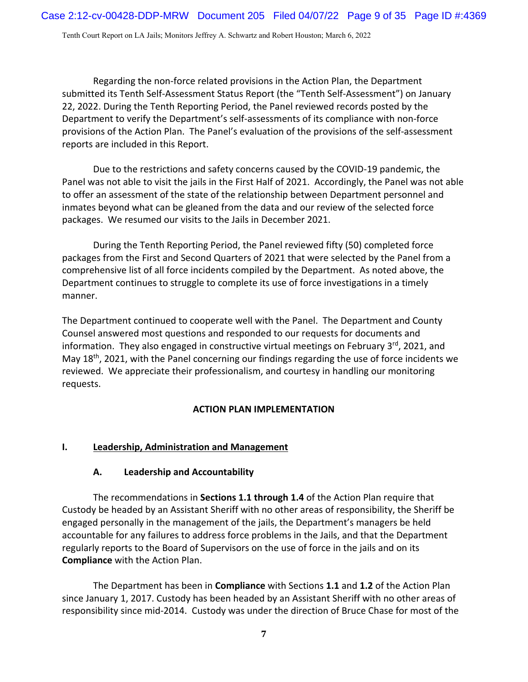Regarding the non‐force related provisions in the Action Plan, the Department submitted its Tenth Self‐Assessment Status Report (the "Tenth Self‐Assessment") on January 22, 2022. During the Tenth Reporting Period, the Panel reviewed records posted by the Department to verify the Department's self‐assessments of its compliance with non‐force provisions of the Action Plan. The Panel's evaluation of the provisions of the self‐assessment reports are included in this Report.

Due to the restrictions and safety concerns caused by the COVID‐19 pandemic, the Panel was not able to visit the jails in the First Half of 2021. Accordingly, the Panel was not able to offer an assessment of the state of the relationship between Department personnel and inmates beyond what can be gleaned from the data and our review of the selected force packages. We resumed our visits to the Jails in December 2021.

During the Tenth Reporting Period, the Panel reviewed fifty (50) completed force packages from the First and Second Quarters of 2021 that were selected by the Panel from a comprehensive list of all force incidents compiled by the Department. As noted above, the Department continues to struggle to complete its use of force investigations in a timely manner.

The Department continued to cooperate well with the Panel. The Department and County Counsel answered most questions and responded to our requests for documents and information. They also engaged in constructive virtual meetings on February  $3<sup>rd</sup>$ , 2021, and May 18<sup>th</sup>, 2021, with the Panel concerning our findings regarding the use of force incidents we reviewed. We appreciate their professionalism, and courtesy in handling our monitoring requests.

#### **ACTION PLAN IMPLEMENTATION**

#### **I. Leadership, Administration and Management**

#### **A. Leadership and Accountability**

The recommendations in **Sections 1.1 through 1.4** of the Action Plan require that Custody be headed by an Assistant Sheriff with no other areas of responsibility, the Sheriff be engaged personally in the management of the jails, the Department's managers be held accountable for any failures to address force problems in the Jails, and that the Department regularly reports to the Board of Supervisors on the use of force in the jails and on its **Compliance** with the Action Plan.

The Department has been in **Compliance** with Sections **1.1** and **1.2** of the Action Plan since January 1, 2017. Custody has been headed by an Assistant Sheriff with no other areas of responsibility since mid‐2014. Custody was under the direction of Bruce Chase for most of the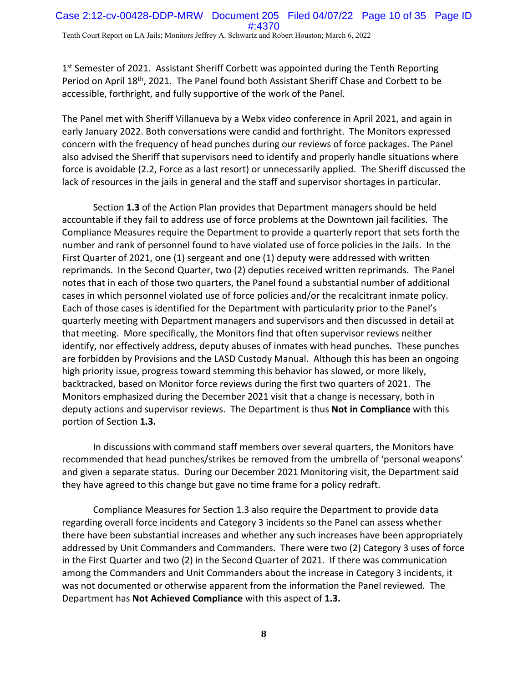$1<sup>st</sup>$  Semester of 2021. Assistant Sheriff Corbett was appointed during the Tenth Reporting Period on April 18<sup>th</sup>, 2021. The Panel found both Assistant Sheriff Chase and Corbett to be accessible, forthright, and fully supportive of the work of the Panel.

The Panel met with Sheriff Villanueva by a Webx video conference in April 2021, and again in early January 2022. Both conversations were candid and forthright. The Monitors expressed concern with the frequency of head punches during our reviews of force packages. The Panel also advised the Sheriff that supervisors need to identify and properly handle situations where force is avoidable (2.2, Force as a last resort) or unnecessarily applied. The Sheriff discussed the lack of resources in the jails in general and the staff and supervisor shortages in particular.

Section **1.3** of the Action Plan provides that Department managers should be held accountable if they fail to address use of force problems at the Downtown jail facilities. The Compliance Measures require the Department to provide a quarterly report that sets forth the number and rank of personnel found to have violated use of force policies in the Jails. In the First Quarter of 2021, one (1) sergeant and one (1) deputy were addressed with written reprimands. In the Second Quarter, two (2) deputies received written reprimands. The Panel notes that in each of those two quarters, the Panel found a substantial number of additional cases in which personnel violated use of force policies and/or the recalcitrant inmate policy. Each of those cases is identified for the Department with particularity prior to the Panel's quarterly meeting with Department managers and supervisors and then discussed in detail at that meeting. More specifically, the Monitors find that often supervisor reviews neither identify, nor effectively address, deputy abuses of inmates with head punches. These punches are forbidden by Provisions and the LASD Custody Manual. Although this has been an ongoing high priority issue, progress toward stemming this behavior has slowed, or more likely, backtracked, based on Monitor force reviews during the first two quarters of 2021. The Monitors emphasized during the December 2021 visit that a change is necessary, both in deputy actions and supervisor reviews. The Department is thus **Not in Compliance** with this portion of Section **1.3.**

In discussions with command staff members over several quarters, the Monitors have recommended that head punches/strikes be removed from the umbrella of 'personal weapons' and given a separate status. During our December 2021 Monitoring visit, the Department said they have agreed to this change but gave no time frame for a policy redraft.

Compliance Measures for Section 1.3 also require the Department to provide data regarding overall force incidents and Category 3 incidents so the Panel can assess whether there have been substantial increases and whether any such increases have been appropriately addressed by Unit Commanders and Commanders. There were two (2) Category 3 uses of force in the First Quarter and two (2) in the Second Quarter of 2021. If there was communication among the Commanders and Unit Commanders about the increase in Category 3 incidents, it was not documented or otherwise apparent from the information the Panel reviewed. The Department has **Not Achieved Compliance** with this aspect of **1.3.**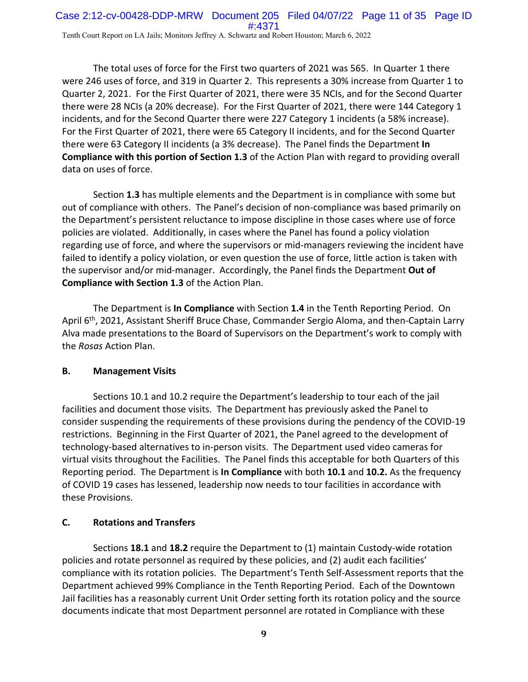The total uses of force for the First two quarters of 2021 was 565. In Quarter 1 there were 246 uses of force, and 319 in Quarter 2. This represents a 30% increase from Quarter 1 to Quarter 2, 2021. For the First Quarter of 2021, there were 35 NCIs, and for the Second Quarter there were 28 NCIs (a 20% decrease). For the First Quarter of 2021, there were 144 Category 1 incidents, and for the Second Quarter there were 227 Category 1 incidents (a 58% increase). For the First Quarter of 2021, there were 65 Category II incidents, and for the Second Quarter there were 63 Category II incidents (a 3% decrease). The Panel finds the Department **In Compliance with this portion of Section 1.3** of the Action Plan with regard to providing overall data on uses of force.

Section **1.3** has multiple elements and the Department is in compliance with some but out of compliance with others. The Panel's decision of non‐compliance was based primarily on the Department's persistent reluctance to impose discipline in those cases where use of force policies are violated. Additionally, in cases where the Panel has found a policy violation regarding use of force, and where the supervisors or mid‐managers reviewing the incident have failed to identify a policy violation, or even question the use of force, little action is taken with the supervisor and/or mid‐manager. Accordingly, the Panel finds the Department **Out of Compliance with Section 1.3** of the Action Plan.

The Department is **In Compliance** with Section **1.4** in the Tenth Reporting Period. On April 6<sup>th</sup>, 2021, Assistant Sheriff Bruce Chase, Commander Sergio Aloma, and then-Captain Larry Alva made presentations to the Board of Supervisors on the Department's work to comply with the *Rosas* Action Plan.

# **B. Management Visits**

Sections 10.1 and 10.2 require the Department's leadership to tour each of the jail facilities and document those visits. The Department has previously asked the Panel to consider suspending the requirements of these provisions during the pendency of the COVID‐19 restrictions. Beginning in the First Quarter of 2021, the Panel agreed to the development of technology‐based alternatives to in‐person visits. The Department used video cameras for virtual visits throughout the Facilities. The Panel finds this acceptable for both Quarters of this Reporting period. The Department is **In Compliance** with both **10.1** and **10.2.** As the frequency of COVID 19 cases has lessened, leadership now needs to tour facilities in accordance with these Provisions.

# **C. Rotations and Transfers**

Sections **18.1** and **18.2** require the Department to (1) maintain Custody‐wide rotation policies and rotate personnel as required by these policies, and (2) audit each facilities' compliance with its rotation policies. The Department's Tenth Self‐Assessment reports that the Department achieved 99% Compliance in the Tenth Reporting Period.Each of the Downtown Jail facilities has a reasonably current Unit Order setting forth its rotation policy and the source documents indicate that most Department personnel are rotated in Compliance with these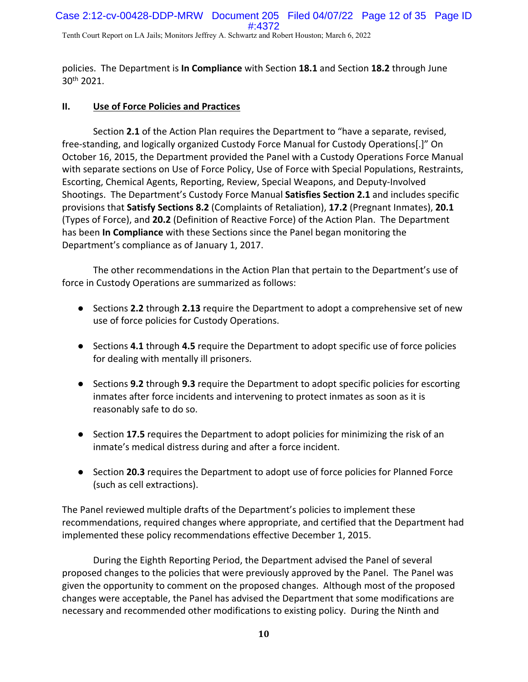policies. The Department is **In Compliance** with Section **18.1** and Section **18.2** through June 30th 2021.

### **II. Use of Force Policies and Practices**

Section **2.1** of the Action Plan requires the Department to "have a separate, revised, free‐standing, and logically organized Custody Force Manual for Custody Operations[.]" On October 16, 2015, the Department provided the Panel with a Custody Operations Force Manual with separate sections on Use of Force Policy, Use of Force with Special Populations, Restraints, Escorting, Chemical Agents, Reporting, Review, Special Weapons, and Deputy‐Involved Shootings. The Department's Custody Force Manual **Satisfies Section 2.1** and includes specific provisions that **Satisfy Sections 8.2** (Complaints of Retaliation), **17.2** (Pregnant Inmates), **20.1** (Types of Force), and **20.2** (Definition of Reactive Force) of the Action Plan. The Department has been **In Compliance** with these Sections since the Panel began monitoring the Department's compliance as of January 1, 2017.

The other recommendations in the Action Plan that pertain to the Department's use of force in Custody Operations are summarized as follows:

- Sections **2.2** through **2.13** require the Department to adopt a comprehensive set of new use of force policies for Custody Operations.
- Sections **4.1** through **4.5** require the Department to adopt specific use of force policies for dealing with mentally ill prisoners.
- Sections **9.2** through **9.3** require the Department to adopt specific policies for escorting inmates after force incidents and intervening to protect inmates as soon as it is reasonably safe to do so.
- Section 17.5 requires the Department to adopt policies for minimizing the risk of an inmate's medical distress during and after a force incident.
- Section **20.3** requires the Department to adopt use of force policies for Planned Force (such as cell extractions).

The Panel reviewed multiple drafts of the Department's policies to implement these recommendations, required changes where appropriate, and certified that the Department had implemented these policy recommendations effective December 1, 2015.

During the Eighth Reporting Period, the Department advised the Panel of several proposed changes to the policies that were previously approved by the Panel. The Panel was given the opportunity to comment on the proposed changes. Although most of the proposed changes were acceptable, the Panel has advised the Department that some modifications are necessary and recommended other modifications to existing policy. During the Ninth and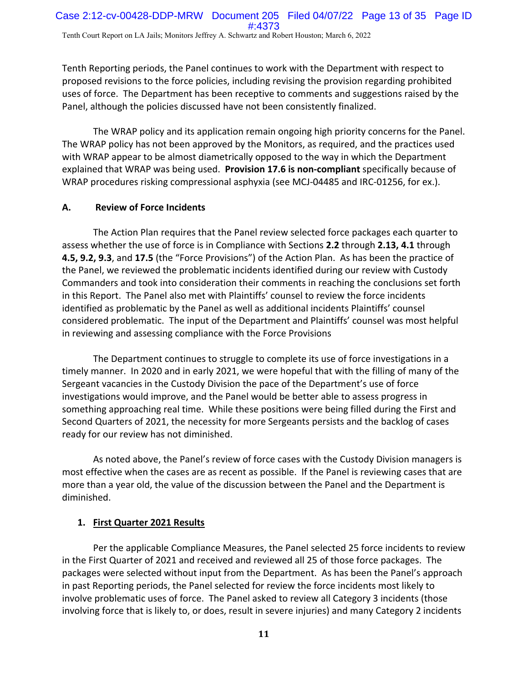Tenth Reporting periods, the Panel continues to work with the Department with respect to proposed revisions to the force policies, including revising the provision regarding prohibited uses of force. The Department has been receptive to comments and suggestions raised by the Panel, although the policies discussed have not been consistently finalized.

The WRAP policy and its application remain ongoing high priority concerns for the Panel. The WRAP policy has not been approved by the Monitors, as required, and the practices used with WRAP appear to be almost diametrically opposed to the way in which the Department explained that WRAP was being used. **Provision 17.6 is non‐compliant** specifically because of WRAP procedures risking compressional asphyxia (see MCJ‐04485 and IRC‐01256, for ex.).

#### **A. Review of Force Incidents**

The Action Plan requires that the Panel review selected force packages each quarter to assess whether the use of force is in Compliance with Sections **2.2** through **2.13, 4.1** through **4.5, 9.2, 9.3**, and **17.5** (the "Force Provisions") of the Action Plan. As has been the practice of the Panel, we reviewed the problematic incidents identified during our review with Custody Commanders and took into consideration their comments in reaching the conclusions set forth in this Report. The Panel also met with Plaintiffs' counsel to review the force incidents identified as problematic by the Panel as well as additional incidents Plaintiffs' counsel considered problematic. The input of the Department and Plaintiffs' counsel was most helpful in reviewing and assessing compliance with the Force Provisions

The Department continues to struggle to complete its use of force investigations in a timely manner. In 2020 and in early 2021, we were hopeful that with the filling of many of the Sergeant vacancies in the Custody Division the pace of the Department's use of force investigations would improve, and the Panel would be better able to assess progress in something approaching real time. While these positions were being filled during the First and Second Quarters of 2021, the necessity for more Sergeants persists and the backlog of cases ready for our review has not diminished.

As noted above, the Panel's review of force cases with the Custody Division managers is most effective when the cases are as recent as possible. If the Panel is reviewing cases that are more than a year old, the value of the discussion between the Panel and the Department is diminished.

#### **1. First Quarter 2021 Results**

Per the applicable Compliance Measures, the Panel selected 25 force incidents to review in the First Quarter of 2021 and received and reviewed all 25 of those force packages. The packages were selected without input from the Department. As has been the Panel's approach in past Reporting periods, the Panel selected for review the force incidents most likely to involve problematic uses of force. The Panel asked to review all Category 3 incidents (those involving force that is likely to, or does, result in severe injuries) and many Category 2 incidents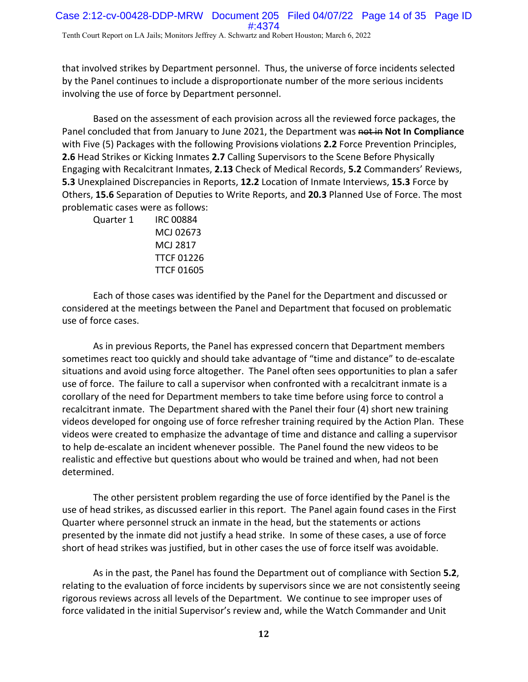that involved strikes by Department personnel. Thus, the universe of force incidents selected by the Panel continues to include a disproportionate number of the more serious incidents involving the use of force by Department personnel.

Based on the assessment of each provision across all the reviewed force packages, the Panel concluded that from January to June 2021, the Department was not in Not In Compliance with Five (5) Packages with the following Provisions violations **2.2** Force Prevention Principles, **2.6** Head Strikes or Kicking Inmates **2.7** Calling Supervisors to the Scene Before Physically Engaging with Recalcitrant Inmates, **2.13** Check of Medical Records, **5.2** Commanders' Reviews, **5.3** Unexplained Discrepancies in Reports, **12.2** Location of Inmate Interviews, **15.3** Force by Others, **15.6** Separation of Deputies to Write Reports, and **20.3** Planned Use of Force. The most problematic cases were as follows:

| Quarter 1 | <b>IRC 00884</b>  |
|-----------|-------------------|
|           | MCJ 02673         |
|           | MCJ 2817          |
|           | <b>TTCF 01226</b> |
|           | <b>TTCF 01605</b> |

Each of those cases was identified by the Panel for the Department and discussed or considered at the meetings between the Panel and Department that focused on problematic use of force cases.

As in previous Reports, the Panel has expressed concern that Department members sometimes react too quickly and should take advantage of "time and distance" to de‐escalate situations and avoid using force altogether. The Panel often sees opportunities to plan a safer use of force. The failure to call a supervisor when confronted with a recalcitrant inmate is a corollary of the need for Department members to take time before using force to control a recalcitrant inmate. The Department shared with the Panel their four (4) short new training videos developed for ongoing use of force refresher training required by the Action Plan. These videos were created to emphasize the advantage of time and distance and calling a supervisor to help de‐escalate an incident whenever possible. The Panel found the new videos to be realistic and effective but questions about who would be trained and when, had not been determined.

The other persistent problem regarding the use of force identified by the Panel is the use of head strikes, as discussed earlier in this report. The Panel again found cases in the First Quarter where personnel struck an inmate in the head, but the statements or actions presented by the inmate did not justify a head strike. In some of these cases, a use of force short of head strikes was justified, but in other cases the use of force itself was avoidable.

As in the past, the Panel has found the Department out of compliance with Section **5.2**, relating to the evaluation of force incidents by supervisors since we are not consistently seeing rigorous reviews across all levels of the Department. We continue to see improper uses of force validated in the initial Supervisor's review and, while the Watch Commander and Unit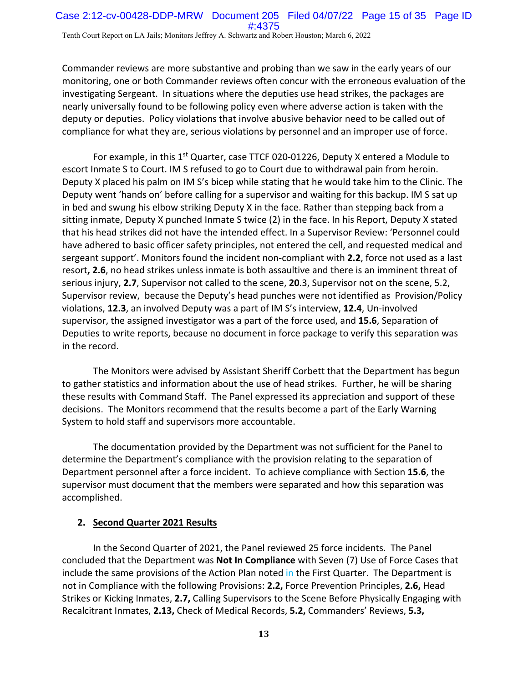Commander reviews are more substantive and probing than we saw in the early years of our monitoring, one or both Commander reviews often concur with the erroneous evaluation of the investigating Sergeant. In situations where the deputies use head strikes, the packages are nearly universally found to be following policy even where adverse action is taken with the deputy or deputies. Policy violations that involve abusive behavior need to be called out of compliance for what they are, serious violations by personnel and an improper use of force.

For example, in this  $1<sup>st</sup>$  Quarter, case TTCF 020-01226, Deputy X entered a Module to escort Inmate S to Court. IM S refused to go to Court due to withdrawal pain from heroin. Deputy X placed his palm on IM S's bicep while stating that he would take him to the Clinic. The Deputy went 'hands on' before calling for a supervisor and waiting for this backup. IM S sat up in bed and swung his elbow striking Deputy X in the face. Rather than stepping back from a sitting inmate, Deputy X punched Inmate S twice (2) in the face. In his Report, Deputy X stated that his head strikes did not have the intended effect. In a Supervisor Review: 'Personnel could have adhered to basic officer safety principles, not entered the cell, and requested medical and sergeant support'. Monitors found the incident non‐compliant with **2.2**, force not used as a last resort**, 2.6**, no head strikes unless inmate is both assaultive and there is an imminent threat of serious injury, **2.7**, Supervisor not called to the scene, **20**.3, Supervisor not on the scene, 5.2, Supervisor review, because the Deputy's head punches were not identified as Provision/Policy violations, **12.3**, an involved Deputy was a part of IM S's interview, **12.4**, Un‐involved supervisor, the assigned investigator was a part of the force used, and **15.6**, Separation of Deputies to write reports, because no document in force package to verify this separation was in the record.

The Monitors were advised by Assistant Sheriff Corbett that the Department has begun to gather statistics and information about the use of head strikes. Further, he will be sharing these results with Command Staff. The Panel expressed its appreciation and support of these decisions. The Monitors recommend that the results become a part of the Early Warning System to hold staff and supervisors more accountable.

The documentation provided by the Department was not sufficient for the Panel to determine the Department's compliance with the provision relating to the separation of Department personnel after a force incident. To achieve compliance with Section **15.6**, the supervisor must document that the members were separated and how this separation was accomplished.

# **2. Second Quarter 2021 Results**

In the Second Quarter of 2021, the Panel reviewed 25 force incidents. The Panel concluded that the Department was **Not In Compliance** with Seven (7) Use of Force Cases that include the same provisions of the Action Plan noted in the First Quarter. The Department is not in Compliance with the following Provisions: **2.2,** Force Prevention Principles, **2.6,** Head Strikes or Kicking Inmates, **2.7,** Calling Supervisors to the Scene Before Physically Engaging with Recalcitrant Inmates, **2.13,** Check of Medical Records, **5.2,** Commanders' Reviews, **5.3,**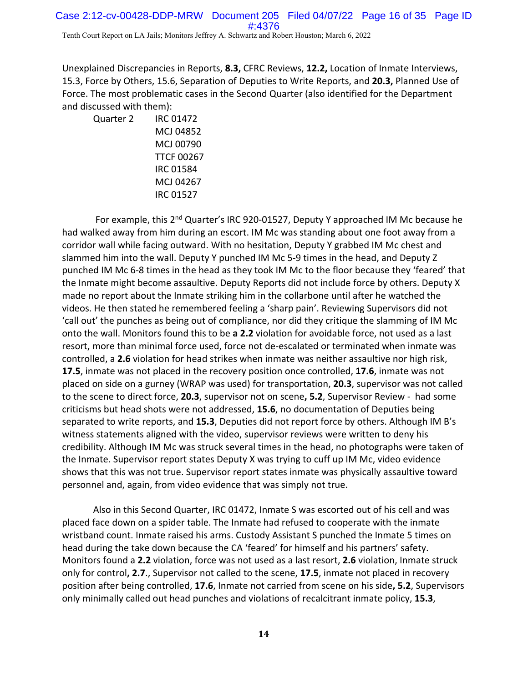Unexplained Discrepancies in Reports, **8.3,** CFRC Reviews, **12.2,** Location of Inmate Interviews, 15.3, Force by Others, 15.6, Separation of Deputies to Write Reports, and **20.3,** Planned Use of Force. The most problematic cases in the Second Quarter (also identified for the Department and discussed with them):

Quarter 2 IRC 01472 MCJ 04852 MCJ 00790 TTCF 00267 IRC 01584 MCJ 04267 IRC 01527

For example, this 2<sup>nd</sup> Quarter's IRC 920-01527, Deputy Y approached IM Mc because he had walked away from him during an escort. IM Mc was standing about one foot away from a corridor wall while facing outward. With no hesitation, Deputy Y grabbed IM Mc chest and slammed him into the wall. Deputy Y punched IM Mc 5‐9 times in the head, and Deputy Z punched IM Mc 6‐8 times in the head as they took IM Mc to the floor because they 'feared' that the Inmate might become assaultive. Deputy Reports did not include force by others. Deputy X made no report about the Inmate striking him in the collarbone until after he watched the videos. He then stated he remembered feeling a 'sharp pain'. Reviewing Supervisors did not 'call out' the punches as being out of compliance, nor did they critique the slamming of IM Mc onto the wall. Monitors found this to be **a 2.2** violation for avoidable force, not used as a last resort, more than minimal force used, force not de‐escalated or terminated when inmate was controlled, a **2.6** violation for head strikes when inmate was neither assaultive nor high risk, **17.5**, inmate was not placed in the recovery position once controlled, **17.6**, inmate was not placed on side on a gurney (WRAP was used) for transportation, **20.3**, supervisor was not called to the scene to direct force, **20.3**, supervisor not on scene**, 5.2**, Supervisor Review ‐ had some criticisms but head shots were not addressed, **15.6**, no documentation of Deputies being separated to write reports, and **15.3**, Deputies did not report force by others. Although IM B's witness statements aligned with the video, supervisor reviews were written to deny his credibility. Although IM Mc was struck several times in the head, no photographs were taken of the Inmate. Supervisor report states Deputy X was trying to cuff up IM Mc, video evidence shows that this was not true. Supervisor report states inmate was physically assaultive toward personnel and, again, from video evidence that was simply not true.

Also in this Second Quarter, IRC 01472, Inmate S was escorted out of his cell and was placed face down on a spider table. The Inmate had refused to cooperate with the inmate wristband count. Inmate raised his arms. Custody Assistant S punched the Inmate 5 times on head during the take down because the CA 'feared' for himself and his partners' safety. Monitors found a **2.2** violation, force was not used as a last resort, **2.6** violation, Inmate struck only for control**, 2.7**., Supervisor not called to the scene, **17.5**, inmate not placed in recovery position after being controlled, **17.6**, Inmate not carried from scene on his side**, 5.2**, Supervisors only minimally called out head punches and violations of recalcitrant inmate policy, **15.3**,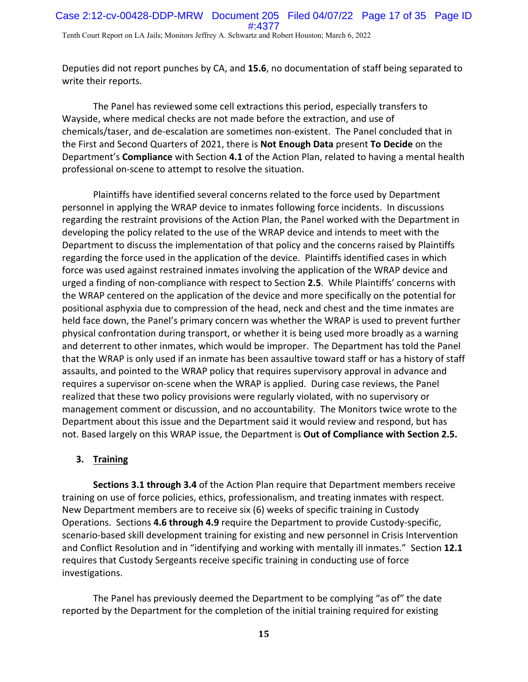Deputies did not report punches by CA, and **15.6**, no documentation of staff being separated to write their reports.

The Panel has reviewed some cell extractions this period, especially transfers to Wayside, where medical checks are not made before the extraction, and use of chemicals/taser, and de‐escalation are sometimes non‐existent. The Panel concluded that in the First and Second Quarters of 2021, there is **Not Enough Data** present **To Decide** on the Department's **Compliance** with Section **4.1** of the Action Plan, related to having a mental health professional on‐scene to attempt to resolve the situation.

Plaintiffs have identified several concerns related to the force used by Department personnel in applying the WRAP device to inmates following force incidents. In discussions regarding the restraint provisions of the Action Plan, the Panel worked with the Department in developing the policy related to the use of the WRAP device and intends to meet with the Department to discuss the implementation of that policy and the concerns raised by Plaintiffs regarding the force used in the application of the device. Plaintiffs identified cases in which force was used against restrained inmates involving the application of the WRAP device and urged a finding of non‐compliance with respect to Section **2.5**. While Plaintiffs' concerns with the WRAP centered on the application of the device and more specifically on the potential for positional asphyxia due to compression of the head, neck and chest and the time inmates are held face down, the Panel's primary concern was whether the WRAP is used to prevent further physical confrontation during transport, or whether it is being used more broadly as a warning and deterrent to other inmates, which would be improper. The Department has told the Panel that the WRAP is only used if an inmate has been assaultive toward staff or has a history of staff assaults, and pointed to the WRAP policy that requires supervisory approval in advance and requires a supervisor on‐scene when the WRAP is applied. During case reviews, the Panel realized that these two policy provisions were regularly violated, with no supervisory or management comment or discussion, and no accountability. The Monitors twice wrote to the Department about this issue and the Department said it would review and respond, but has not. Based largely on this WRAP issue, the Department is **Out of Compliance with Section 2.5.**

# **3. Training**

**Sections 3.1 through 3.4** of the Action Plan require that Department members receive training on use of force policies, ethics, professionalism, and treating inmates with respect. New Department members are to receive six (6) weeks of specific training in Custody Operations. Sections **4.6 through 4.9** require the Department to provide Custody‐specific, scenario-based skill development training for existing and new personnel in Crisis Intervention and Conflict Resolution and in "identifying and working with mentally ill inmates." Section **12.1** requires that Custody Sergeants receive specific training in conducting use of force investigations.

The Panel has previously deemed the Department to be complying "as of" the date reported by the Department for the completion of the initial training required for existing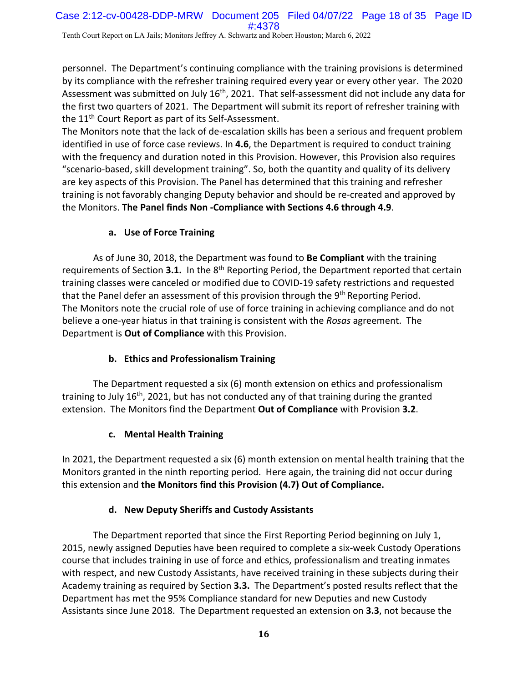personnel. The Department's continuing compliance with the training provisions is determined by its compliance with the refresher training required every year or every other year. The 2020 Assessment was submitted on July 16<sup>th</sup>, 2021. That self-assessment did not include any data for the first two quarters of 2021. The Department will submit its report of refresher training with the 11<sup>th</sup> Court Report as part of its Self-Assessment.

The Monitors note that the lack of de‐escalation skills has been a serious and frequent problem identified in use of force case reviews. In **4.6**, the Department is required to conduct training with the frequency and duration noted in this Provision. However, this Provision also requires "scenario‐based, skill development training". So, both the quantity and quality of its delivery are key aspects of this Provision. The Panel has determined that this training and refresher training is not favorably changing Deputy behavior and should be re‐created and approved by the Monitors. **The Panel finds Non ‐Compliance with Sections 4.6 through 4.9**.

# **a. Use of Force Training**

As of June 30, 2018, the Department was found to **Be Compliant** with the training requirements of Section 3.1. In the 8<sup>th</sup> Reporting Period, the Department reported that certain training classes were canceled or modified due to COVID‐19 safety restrictions and requested that the Panel defer an assessment of this provision through the 9<sup>th</sup> Reporting Period. The Monitors note the crucial role of use of force training in achieving compliance and do not believe a one‐year hiatus in that training is consistent with the *Rosas* agreement. The Department is **Out of Compliance** with this Provision.

# **b. Ethics and Professionalism Training**

The Department requested a six (6) month extension on ethics and professionalism training to July 16<sup>th</sup>, 2021, but has not conducted any of that training during the granted extension. The Monitors find the Department **Out of Compliance** with Provision **3.2**.

# **c. Mental Health Training**

In 2021, the Department requested a six (6) month extension on mental health training that the Monitors granted in the ninth reporting period. Here again, the training did not occur during this extension and **the Monitors find this Provision (4.7) Out of Compliance.**

# **d. New Deputy Sheriffs and Custody Assistants**

The Department reported that since the First Reporting Period beginning on July 1, 2015, newly assigned Deputies have been required to complete a six‐week Custody Operations course that includes training in use of force and ethics, professionalism and treating inmates with respect, and new Custody Assistants, have received training in these subjects during their Academy training as required by Section **3.3.** The Department's posted results reflect that the Department has met the 95% Compliance standard for new Deputies and new Custody Assistants since June 2018. The Department requested an extension on **3.3**, not because the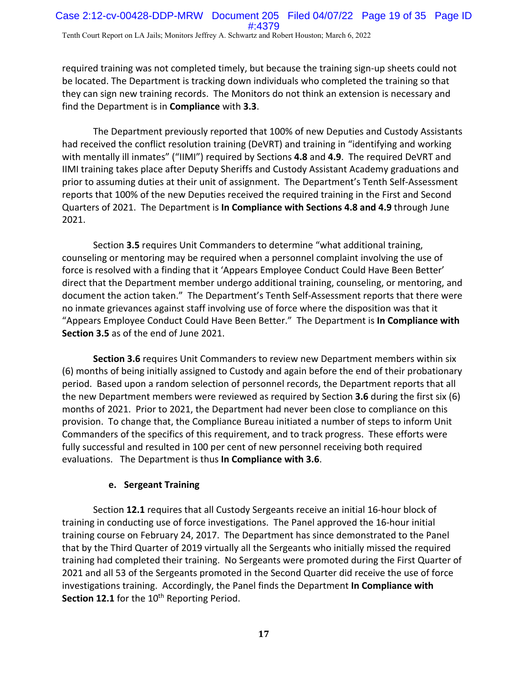required training was not completed timely, but because the training sign-up sheets could not be located. The Department is tracking down individuals who completed the training so that they can sign new training records. The Monitors do not think an extension is necessary and find the Department is in **Compliance** with **3.3**.

The Department previously reported that 100% of new Deputies and Custody Assistants had received the conflict resolution training (DeVRT) and training in "identifying and working with mentally ill inmates" ("IIMI") required by Sections **4.8** and **4.9**. The required DeVRT and IIMI training takes place after Deputy Sheriffs and Custody Assistant Academy graduations and prior to assuming duties at their unit of assignment. The Department's Tenth Self‐Assessment reports that 100% of the new Deputies received the required training in the First and Second Quarters of 2021. The Department is **In Compliance with Sections 4.8 and 4.9** through June 2021.

Section **3.5** requires Unit Commanders to determine "what additional training, counseling or mentoring may be required when a personnel complaint involving the use of force is resolved with a finding that it 'Appears Employee Conduct Could Have Been Better' direct that the Department member undergo additional training, counseling, or mentoring, and document the action taken." The Department's Tenth Self‐Assessment reports that there were no inmate grievances against staff involving use of force where the disposition was that it "Appears Employee Conduct Could Have Been Better." The Department is **In Compliance with Section 3.5** as of the end of June 2021.

**Section 3.6** requires Unit Commanders to review new Department members within six (6) months of being initially assigned to Custody and again before the end of their probationary period. Based upon a random selection of personnel records, the Department reports that all the new Department members were reviewed as required by Section **3.6** during the first six (6) months of 2021. Prior to 2021, the Department had never been close to compliance on this provision. To change that, the Compliance Bureau initiated a number of steps to inform Unit Commanders of the specifics of this requirement, and to track progress. These efforts were fully successful and resulted in 100 per cent of new personnel receiving both required evaluations. The Department is thus **In Compliance with 3.6**.

#### **e. Sergeant Training**

Section **12.1** requires that all Custody Sergeants receive an initial 16‐hour block of training in conducting use of force investigations. The Panel approved the 16‐hour initial training course on February 24, 2017. The Department has since demonstrated to the Panel that by the Third Quarter of 2019 virtually all the Sergeants who initially missed the required training had completed their training. No Sergeants were promoted during the First Quarter of 2021 and all 53 of the Sergeants promoted in the Second Quarter did receive the use of force investigations training. Accordingly, the Panel finds the Department **In Compliance with Section 12.1** for the 10<sup>th</sup> Reporting Period.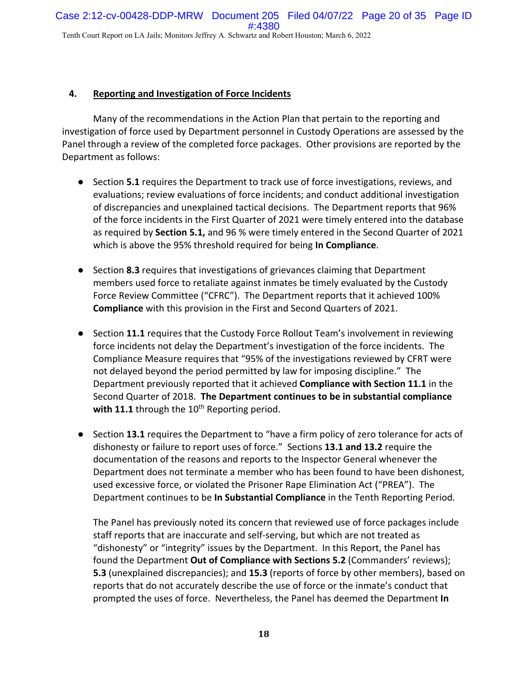#### **4. Reporting and Investigation of Force Incidents**

Many of the recommendations in the Action Plan that pertain to the reporting and investigation of force used by Department personnel in Custody Operations are assessed by the Panel through a review of the completed force packages. Other provisions are reported by the Department as follows:

- Section **5.1** requires the Department to track use of force investigations, reviews, and evaluations; review evaluations of force incidents; and conduct additional investigation of discrepancies and unexplained tactical decisions. The Department reports that 96% of the force incidents in the First Quarter of 2021 were timely entered into the database as required by **Section 5.1,** and 96 % were timely entered in the Second Quarter of 2021 which is above the 95% threshold required for being **In Compliance**.
- Section 8.3 requires that investigations of grievances claiming that Department members used force to retaliate against inmates be timely evaluated by the Custody Force Review Committee ("CFRC"). The Department reports that it achieved 100% **Compliance** with this provision in the First and Second Quarters of 2021.
- Section **11.1** requires that the Custody Force Rollout Team's involvement in reviewing force incidents not delay the Department's investigation of the force incidents. The Compliance Measure requires that "95% of the investigations reviewed by CFRT were not delayed beyond the period permitted by law for imposing discipline." The Department previously reported that it achieved **Compliance with Section 11.1** in the Second Quarter of 2018. **The Department continues to be in substantial compliance** with 11.1 through the 10<sup>th</sup> Reporting period.
- Section 13.1 requires the Department to "have a firm policy of zero tolerance for acts of dishonesty or failure to report uses of force." Sections **13.1 and 13.2** require the documentation of the reasons and reports to the Inspector General whenever the Department does not terminate a member who has been found to have been dishonest, used excessive force, or violated the Prisoner Rape Elimination Act ("PREA"). The Department continues to be **In Substantial Compliance** in the Tenth Reporting Period.

The Panel has previously noted its concern that reviewed use of force packages include staff reports that are inaccurate and self‐serving, but which are not treated as "dishonesty" or "integrity" issues by the Department. In this Report, the Panel has found the Department **Out of Compliance with Sections 5.2** (Commanders' reviews); **5.3** (unexplained discrepancies); and **15.3** (reports of force by other members), based on reports that do not accurately describe the use of force or the inmate's conduct that prompted the uses of force. Nevertheless, the Panel has deemed the Department **In**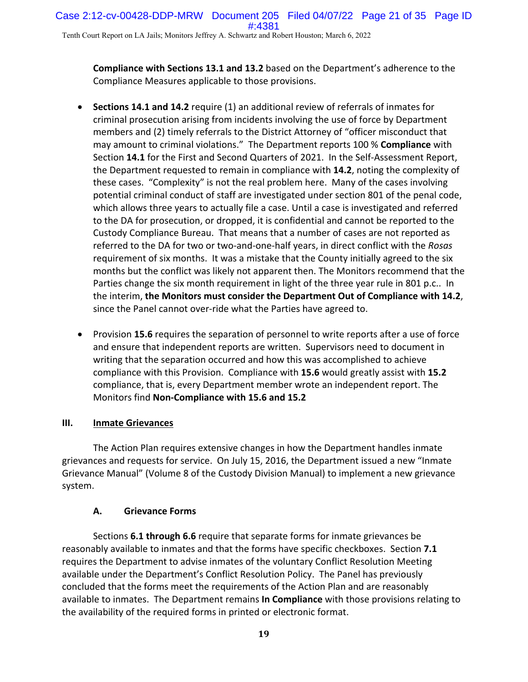**Compliance with Sections 13.1 and 13.2** based on the Department's adherence to the Compliance Measures applicable to those provisions.

- **Sections 14.1 and 14.2** require (1) an additional review of referrals of inmates for criminal prosecution arising from incidents involving the use of force by Department members and (2) timely referrals to the District Attorney of "officer misconduct that may amount to criminal violations." The Department reports 100 % **Compliance** with Section **14.1** for the First and Second Quarters of 2021. In the Self‐Assessment Report, the Department requested to remain in compliance with **14.2**, noting the complexity of these cases. "Complexity" is not the real problem here. Many of the cases involving potential criminal conduct of staff are investigated under section 801 of the penal code, which allows three years to actually file a case. Until a case is investigated and referred to the DA for prosecution, or dropped, it is confidential and cannot be reported to the Custody Compliance Bureau. That means that a number of cases are not reported as referred to the DA for two or two‐and‐one‐half years, in direct conflict with the *Rosas* requirement of six months. It was a mistake that the County initially agreed to the six months but the conflict was likely not apparent then. The Monitors recommend that the Parties change the six month requirement in light of the three year rule in 801 p.c.. In the interim, **the Monitors must consider the Department Out of Compliance with 14.2**, since the Panel cannot over‐ride what the Parties have agreed to.
- **•** Provision **15.6** requires the separation of personnel to write reports after a use of force and ensure that independent reports are written. Supervisors need to document in writing that the separation occurred and how this was accomplished to achieve compliance with this Provision. Compliance with **15.6** would greatly assist with **15.2** compliance, that is, every Department member wrote an independent report. The Monitors find **Non‐Compliance with 15.6 and 15.2**

# **III. Inmate Grievances**

The Action Plan requires extensive changes in how the Department handles inmate grievances and requests for service. On July 15, 2016, the Department issued a new "Inmate Grievance Manual" (Volume 8 of the Custody Division Manual) to implement a new grievance system.

# **A. Grievance Forms**

Sections **6.1 through 6.6** require that separate forms for inmate grievances be reasonably available to inmates and that the forms have specific checkboxes. Section **7.1** requires the Department to advise inmates of the voluntary Conflict Resolution Meeting available under the Department's Conflict Resolution Policy. The Panel has previously concluded that the forms meet the requirements of the Action Plan and are reasonably available to inmates. The Department remains **In Compliance** with those provisions relating to the availability of the required forms in printed or electronic format.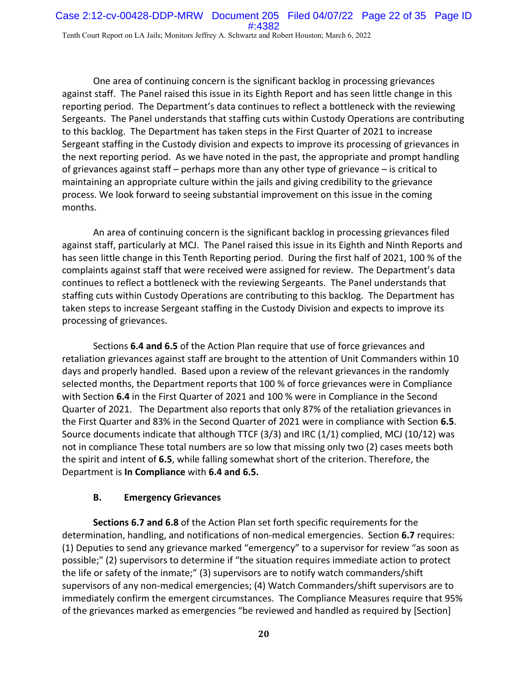One area of continuing concern is the significant backlog in processing grievances against staff. The Panel raised this issue in its Eighth Report and has seen little change in this reporting period. The Department's data continues to reflect a bottleneck with the reviewing Sergeants. The Panel understands that staffing cuts within Custody Operations are contributing to this backlog. The Department has taken steps in the First Quarter of 2021 to increase Sergeant staffing in the Custody division and expects to improve its processing of grievances in the next reporting period. As we have noted in the past, the appropriate and prompt handling of grievances against staff – perhaps more than any other type of grievance – is critical to maintaining an appropriate culture within the jails and giving credibility to the grievance process. We look forward to seeing substantial improvement on this issue in the coming months.

An area of continuing concern is the significant backlog in processing grievances filed against staff, particularly at MCJ. The Panel raised this issue in its Eighth and Ninth Reports and has seen little change in this Tenth Reporting period. During the first half of 2021, 100 % of the complaints against staff that were received were assigned for review. The Department's data continues to reflect a bottleneck with the reviewing Sergeants. The Panel understands that staffing cuts within Custody Operations are contributing to this backlog. The Department has taken steps to increase Sergeant staffing in the Custody Division and expects to improve its processing of grievances.

Sections **6.4 and 6.5** of the Action Plan require that use of force grievances and retaliation grievances against staff are brought to the attention of Unit Commanders within 10 days and properly handled. Based upon a review of the relevant grievances in the randomly selected months, the Department reports that 100 % of force grievances were in Compliance with Section **6.4** in the First Quarter of 2021 and 100 % were in Compliance in the Second Quarter of 2021. The Department also reports that only 87% of the retaliation grievances in the First Quarter and 83% in the Second Quarter of 2021 were in compliance with Section **6.5**. Source documents indicate that although TTCF (3/3) and IRC (1/1) complied, MCJ (10/12) was not in compliance These total numbers are so low that missing only two (2) cases meets both the spirit and intent of **6.5**, while falling somewhat short of the criterion. Therefore, the Department is **In Compliance** with **6.4 and 6.5.**

# **B. Emergency Grievances**

**Sections 6.7 and 6.8** of the Action Plan set forth specific requirements for the determination, handling, and notifications of non‐medical emergencies. Section **6.7** requires: (1) Deputies to send any grievance marked "emergency" to a supervisor for review "as soon as possible;" (2) supervisors to determine if "the situation requires immediate action to protect the life or safety of the inmate;" (3) supervisors are to notify watch commanders/shift supervisors of any non-medical emergencies; (4) Watch Commanders/shift supervisors are to immediately confirm the emergent circumstances. The Compliance Measures require that 95% of the grievances marked as emergencies "be reviewed and handled as required by [Section]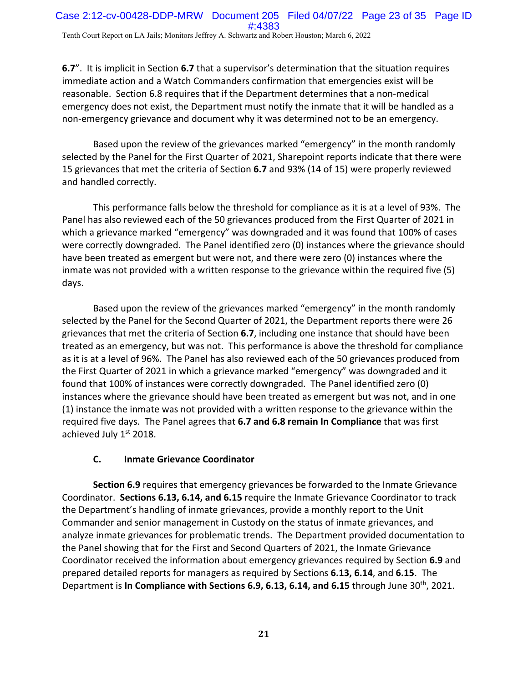**6.7**". It is implicit in Section **6.7** that a supervisor's determination that the situation requires immediate action and a Watch Commanders confirmation that emergencies exist will be reasonable. Section 6.8 requires that if the Department determines that a non‐medical emergency does not exist, the Department must notify the inmate that it will be handled as a non-emergency grievance and document why it was determined not to be an emergency.

Based upon the review of the grievances marked "emergency" in the month randomly selected by the Panel for the First Quarter of 2021, Sharepoint reports indicate that there were 15 grievances that met the criteria of Section **6.7** and 93% (14 of 15) were properly reviewed and handled correctly.

This performance falls below the threshold for compliance as it is at a level of 93%. The Panel has also reviewed each of the 50 grievances produced from the First Quarter of 2021 in which a grievance marked "emergency" was downgraded and it was found that 100% of cases were correctly downgraded. The Panel identified zero (0) instances where the grievance should have been treated as emergent but were not, and there were zero (0) instances where the inmate was not provided with a written response to the grievance within the required five (5) days.

Based upon the review of the grievances marked "emergency" in the month randomly selected by the Panel for the Second Quarter of 2021, the Department reports there were 26 grievances that met the criteria of Section **6.7**, including one instance that should have been treated as an emergency, but was not. This performance is above the threshold for compliance as it is at a level of 96%. The Panel has also reviewed each of the 50 grievances produced from the First Quarter of 2021 in which a grievance marked "emergency" was downgraded and it found that 100% of instances were correctly downgraded. The Panel identified zero (0) instances where the grievance should have been treated as emergent but was not, and in one (1) instance the inmate was not provided with a written response to the grievance within the required five days. The Panel agrees that **6.7 and 6.8 remain In Compliance** that was first achieved July 1st 2018.

#### **C. Inmate Grievance Coordinator**

**Section 6.9** requires that emergency grievances be forwarded to the Inmate Grievance Coordinator. **Sections 6.13, 6.14, and 6.15** require the Inmate Grievance Coordinator to track the Department's handling of inmate grievances, provide a monthly report to the Unit Commander and senior management in Custody on the status of inmate grievances, and analyze inmate grievances for problematic trends. The Department provided documentation to the Panel showing that for the First and Second Quarters of 2021, the Inmate Grievance Coordinator received the information about emergency grievances required by Section **6.9** and prepared detailed reports for managers as required by Sections **6.13, 6.14**, and **6.15**. The Department is **In Compliance with Sections 6.9, 6.13, 6.14, and 6.15** through June 30th, 2021.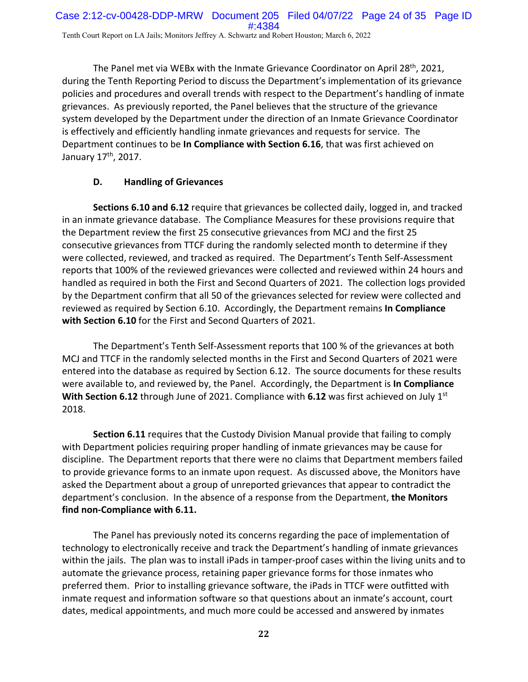The Panel met via WEBx with the Inmate Grievance Coordinator on April 28th, 2021, during the Tenth Reporting Period to discuss the Department's implementation of its grievance policies and procedures and overall trends with respect to the Department's handling of inmate grievances. As previously reported, the Panel believes that the structure of the grievance system developed by the Department under the direction of an Inmate Grievance Coordinator is effectively and efficiently handling inmate grievances and requests for service. The Department continues to be **In Compliance with Section 6.16**, that was first achieved on January 17<sup>th</sup>, 2017.

# **D. Handling of Grievances**

**Sections 6.10 and 6.12** require that grievances be collected daily, logged in, and tracked in an inmate grievance database. The Compliance Measures for these provisions require that the Department review the first 25 consecutive grievances from MCJ and the first 25 consecutive grievances from TTCF during the randomly selected month to determine if they were collected, reviewed, and tracked as required. The Department's Tenth Self‐Assessment reports that 100% of the reviewed grievances were collected and reviewed within 24 hours and handled as required in both the First and Second Quarters of 2021. The collection logs provided by the Department confirm that all 50 of the grievances selected for review were collected and reviewed as required by Section 6.10. Accordingly, the Department remains **In Compliance with Section 6.10** for the First and Second Quarters of 2021.

The Department's Tenth Self‐Assessment reports that 100 % of the grievances at both MCJ and TTCF in the randomly selected months in the First and Second Quarters of 2021 were entered into the database as required by Section 6.12. The source documents for these results were available to, and reviewed by, the Panel. Accordingly, the Department is **In Compliance With Section 6.12** through June of 2021. Compliance with **6.12** was first achieved on July 1<sup>st</sup> 2018.

**Section 6.11** requires that the Custody Division Manual provide that failing to comply with Department policies requiring proper handling of inmate grievances may be cause for discipline. The Department reports that there were no claims that Department members failed to provide grievance forms to an inmate upon request. As discussed above, the Monitors have asked the Department about a group of unreported grievances that appear to contradict the department's conclusion. In the absence of a response from the Department, **the Monitors find non‐Compliance with 6.11.**

The Panel has previously noted its concerns regarding the pace of implementation of technology to electronically receive and track the Department's handling of inmate grievances within the jails. The plan was to install iPads in tamper-proof cases within the living units and to automate the grievance process, retaining paper grievance forms for those inmates who preferred them. Prior to installing grievance software, the iPads in TTCF were outfitted with inmate request and information software so that questions about an inmate's account, court dates, medical appointments, and much more could be accessed and answered by inmates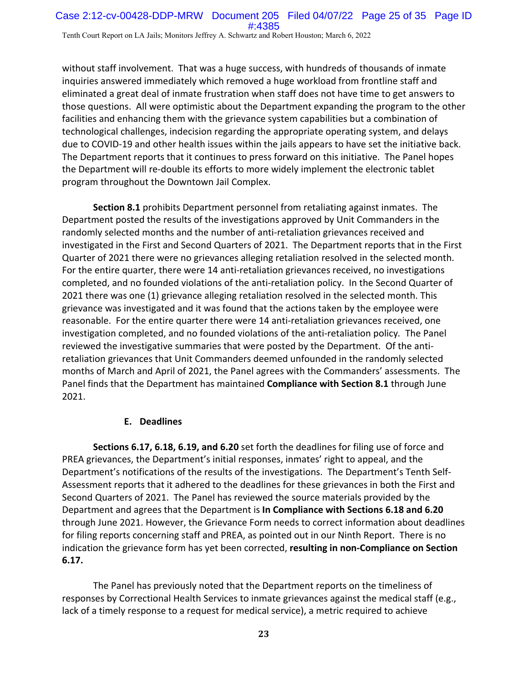without staff involvement. That was a huge success, with hundreds of thousands of inmate inquiries answered immediately which removed a huge workload from frontline staff and eliminated a great deal of inmate frustration when staff does not have time to get answers to those questions. All were optimistic about the Department expanding the program to the other facilities and enhancing them with the grievance system capabilities but a combination of technological challenges, indecision regarding the appropriate operating system, and delays due to COVID‐19 and other health issues within the jails appears to have set the initiative back. The Department reports that it continues to press forward on this initiative. The Panel hopes the Department will re‐double its efforts to more widely implement the electronic tablet program throughout the Downtown Jail Complex.

**Section 8.1** prohibits Department personnel from retaliating against inmates. The Department posted the results of the investigations approved by Unit Commanders in the randomly selected months and the number of anti‐retaliation grievances received and investigated in the First and Second Quarters of 2021. The Department reports that in the First Quarter of 2021 there were no grievances alleging retaliation resolved in the selected month. For the entire quarter, there were 14 anti-retaliation grievances received, no investigations completed, and no founded violations of the anti‐retaliation policy. In the Second Quarter of 2021 there was one (1) grievance alleging retaliation resolved in the selected month. This grievance was investigated and it was found that the actions taken by the employee were reasonable. For the entire quarter there were 14 anti‐retaliation grievances received, one investigation completed, and no founded violations of the anti‐retaliation policy*.* The Panel reviewed the investigative summaries that were posted by the Department. Of the anti‐ retaliation grievances that Unit Commanders deemed unfounded in the randomly selected months of March and April of 2021, the Panel agrees with the Commanders' assessments. The Panel finds that the Department has maintained **Compliance with Section 8.1** through June 2021.

#### **E. Deadlines**

**Sections 6.17, 6.18, 6.19, and 6.20** set forth the deadlines for filing use of force and PREA grievances, the Department's initial responses, inmates' right to appeal, and the Department's notifications of the results of the investigations. The Department's Tenth Self‐ Assessment reports that it adhered to the deadlines for these grievances in both the First and Second Quarters of 2021. The Panel has reviewed the source materials provided by the Department and agrees that the Department is **In Compliance with Sections 6.18 and 6.20** through June 2021. However, the Grievance Form needs to correct information about deadlines for filing reports concerning staff and PREA, as pointed out in our Ninth Report. There is no indication the grievance form has yet been corrected, **resulting in non‐Compliance on Section 6.17.**

The Panel has previously noted that the Department reports on the timeliness of responses by Correctional Health Services to inmate grievances against the medical staff (e.g., lack of a timely response to a request for medical service), a metric required to achieve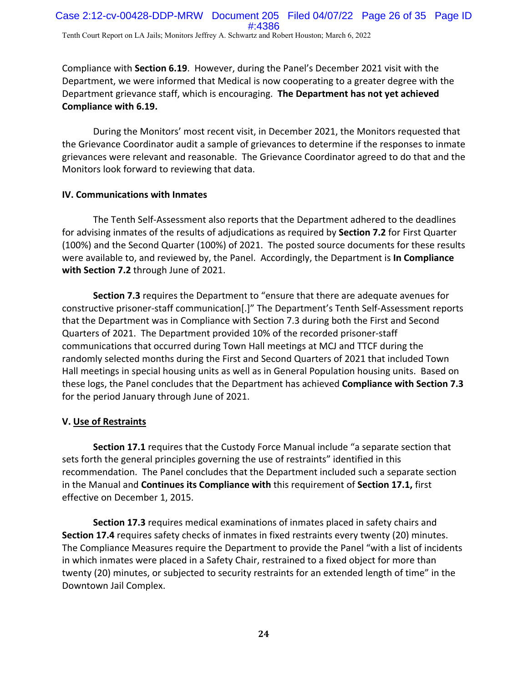Compliance with **Section 6.19**. However, during the Panel's December 2021 visit with the Department, we were informed that Medical is now cooperating to a greater degree with the Department grievance staff, which is encouraging. **The Department has not yet achieved Compliance with 6.19.**

During the Monitors' most recent visit, in December 2021, the Monitors requested that the Grievance Coordinator audit a sample of grievances to determine if the responses to inmate grievances were relevant and reasonable. The Grievance Coordinator agreed to do that and the Monitors look forward to reviewing that data.

### **IV. Communications with Inmates**

The Tenth Self‐Assessment also reports that the Department adhered to the deadlines for advising inmates of the results of adjudications as required by **Section 7.2** for First Quarter (100%) and the Second Quarter (100%) of 2021. The posted source documents for these results were available to, and reviewed by, the Panel. Accordingly, the Department is **In Compliance with Section 7.2** through June of 2021.

**Section 7.3** requires the Department to "ensure that there are adequate avenues for constructive prisoner‐staff communication[.]" The Department's Tenth Self‐Assessment reports that the Department was in Compliance with Section 7.3 during both the First and Second Quarters of 2021. The Department provided 10% of the recorded prisoner‐staff communications that occurred during Town Hall meetings at MCJ and TTCF during the randomly selected months during the First and Second Quarters of 2021 that included Town Hall meetings in special housing units as well as in General Population housing units. Based on these logs, the Panel concludes that the Department has achieved **Compliance with Section 7.3** for the period January through June of 2021.

# **V. Use of Restraints**

**Section 17.1** requires that the Custody Force Manual include "a separate section that sets forth the general principles governing the use of restraints" identified in this recommendation. The Panel concludes that the Department included such a separate section in the Manual and **Continues its Compliance with** this requirement of **Section 17.1,** first effective on December 1, 2015.

**Section 17.3** requires medical examinations of inmates placed in safety chairs and **Section 17.4** requires safety checks of inmates in fixed restraints every twenty (20) minutes. The Compliance Measures require the Department to provide the Panel "with a list of incidents in which inmates were placed in a Safety Chair, restrained to a fixed object for more than twenty (20) minutes, or subjected to security restraints for an extended length of time" in the Downtown Jail Complex.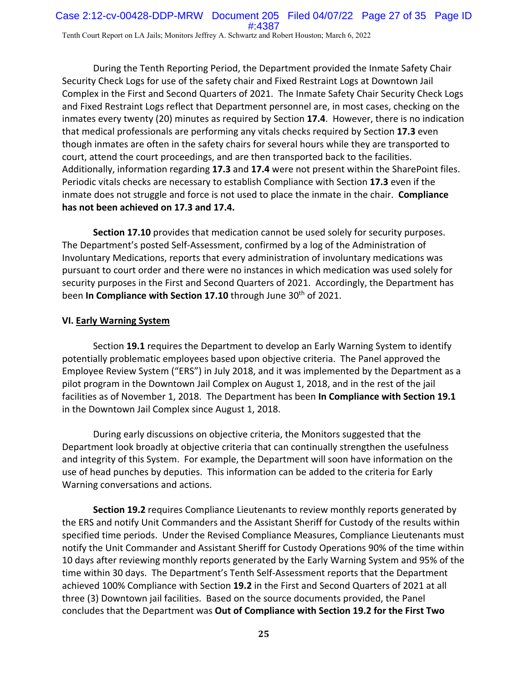During the Tenth Reporting Period, the Department provided the Inmate Safety Chair Security Check Logs for use of the safety chair and Fixed Restraint Logs at Downtown Jail Complex in the First and Second Quarters of 2021. The Inmate Safety Chair Security Check Logs and Fixed Restraint Logs reflect that Department personnel are, in most cases, checking on the inmates every twenty (20) minutes as required by Section **17.4**. However, there is no indication that medical professionals are performing any vitals checks required by Section **17.3** even though inmates are often in the safety chairs for several hours while they are transported to court, attend the court proceedings, and are then transported back to the facilities. Additionally, information regarding **17.3** and **17.4** were not present within the SharePoint files. Periodic vitals checks are necessary to establish Compliance with Section **17.3** even if the inmate does not struggle and force is not used to place the inmate in the chair. **Compliance has not been achieved on 17.3 and 17.4.**

**Section 17.10** provides that medication cannot be used solely for security purposes. The Department's posted Self‐Assessment, confirmed by a log of the Administration of Involuntary Medications, reports that every administration of involuntary medications was pursuant to court order and there were no instances in which medication was used solely for security purposes in the First and Second Quarters of 2021. Accordingly, the Department has been **In Compliance with Section 17.10** through June 30th of 2021.

#### **VI. Early Warning System**

Section **19.1** requires the Department to develop an Early Warning System to identify potentially problematic employees based upon objective criteria. The Panel approved the Employee Review System ("ERS") in July 2018, and it was implemented by the Department as a pilot program in the Downtown Jail Complex on August 1, 2018, and in the rest of the jail facilities as of November 1, 2018. The Department has been **In Compliance with Section 19.1** in the Downtown Jail Complex since August 1, 2018.

During early discussions on objective criteria, the Monitors suggested that the Department look broadly at objective criteria that can continually strengthen the usefulness and integrity of this System. For example, the Department will soon have information on the use of head punches by deputies. This information can be added to the criteria for Early Warning conversations and actions.

**Section 19.2** requires Compliance Lieutenants to review monthly reports generated by the ERS and notify Unit Commanders and the Assistant Sheriff for Custody of the results within specified time periods. Under the Revised Compliance Measures, Compliance Lieutenants must notify the Unit Commander and Assistant Sheriff for Custody Operations 90% of the time within 10 days after reviewing monthly reports generated by the Early Warning System and 95% of the time within 30 days. The Department's Tenth Self‐Assessment reports that the Department achieved 100% Compliance with Section **19.2** in the First and Second Quarters of 2021 at all three (3) Downtown jail facilities. Based on the source documents provided, the Panel concludes that the Department was **Out of Compliance with Section 19.2 for the First Two**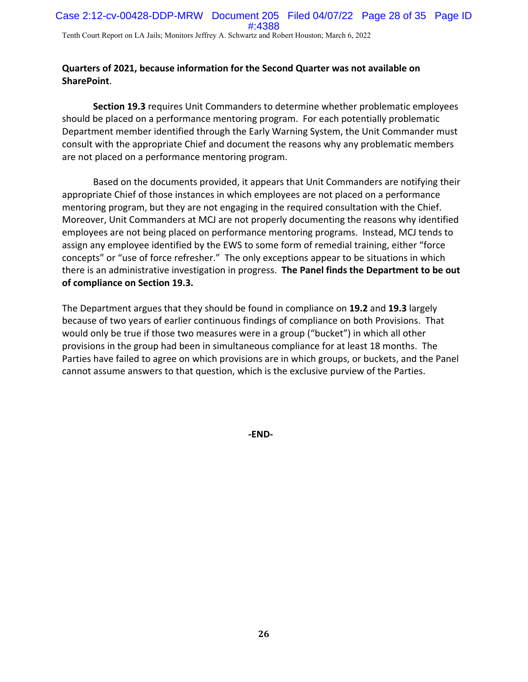### **Quarters of 2021, because information for the Second Quarter was not available on SharePoint**.

**Section 19.3** requires Unit Commanders to determine whether problematic employees should be placed on a performance mentoring program. For each potentially problematic Department member identified through the Early Warning System, the Unit Commander must consult with the appropriate Chief and document the reasons why any problematic members are not placed on a performance mentoring program.

Based on the documents provided, it appears that Unit Commanders are notifying their appropriate Chief of those instances in which employees are not placed on a performance mentoring program, but they are not engaging in the required consultation with the Chief. Moreover, Unit Commanders at MCJ are not properly documenting the reasons why identified employees are not being placed on performance mentoring programs. Instead, MCJ tends to assign any employee identified by the EWS to some form of remedial training, either "force concepts" or "use of force refresher." The only exceptions appear to be situations in which there is an administrative investigation in progress. **The Panel finds the Department to be out of compliance on Section 19.3.** 

The Department argues that they should be found in compliance on **19.2** and **19.3** largely because of two years of earlier continuous findings of compliance on both Provisions. That would only be true if those two measures were in a group ("bucket") in which all other provisions in the group had been in simultaneous compliance for at least 18 months. The Parties have failed to agree on which provisions are in which groups, or buckets, and the Panel cannot assume answers to that question, which is the exclusive purview of the Parties.

**‐END‐**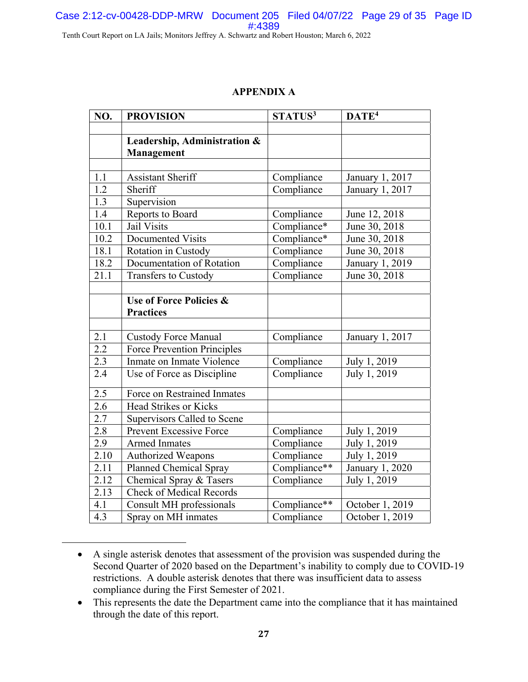# Case 2:12-cv-00428-DDP-MRW Document 205 Filed 04/07/22 Page 29 of 35 Page ID #:4389

Tenth Court Report on LA Jails; Monitors Jeffrey A. Schwartz and Robert Houston; March 6, 2022

### **APPENDIX A**

| NO.               | <b>PROVISION</b>                   | STATUS <sup>3</sup> | DATE <sup>4</sup> |
|-------------------|------------------------------------|---------------------|-------------------|
|                   |                                    |                     |                   |
|                   | Leadership, Administration &       |                     |                   |
|                   | Management                         |                     |                   |
|                   |                                    |                     |                   |
| 1.1               | <b>Assistant Sheriff</b>           | Compliance          | January 1, 2017   |
| 1.2               | Sheriff                            | Compliance          | January 1, 2017   |
| 1.3               | Supervision                        |                     |                   |
| 1.4               | Reports to Board                   | Compliance          | June 12, 2018     |
| 10.1              | Jail Visits                        | Compliance*         | June 30, 2018     |
| 10.2              | Documented Visits                  | Compliance*         | June 30, 2018     |
| 18.1              | Rotation in Custody                | Compliance          | June 30, 2018     |
| 18.2              | Documentation of Rotation          | Compliance          | January 1, 2019   |
| 21.1              | <b>Transfers to Custody</b>        | Compliance          | June 30, 2018     |
|                   |                                    |                     |                   |
|                   | Use of Force Policies &            |                     |                   |
|                   | <b>Practices</b>                   |                     |                   |
|                   |                                    |                     |                   |
| 2.1               | <b>Custody Force Manual</b>        | Compliance          | January 1, 2017   |
| 2.2               | <b>Force Prevention Principles</b> |                     |                   |
| 2.3               | Inmate on Inmate Violence          | Compliance          | July 1, 2019      |
| 2.4               | Use of Force as Discipline         | Compliance          | July 1, 2019      |
| 2.5               | Force on Restrained Inmates        |                     |                   |
| 2.6               | <b>Head Strikes or Kicks</b>       |                     |                   |
| 2.7               | Supervisors Called to Scene        |                     |                   |
| $\overline{2.8}$  | <b>Prevent Excessive Force</b>     | Compliance          | July 1, 2019      |
| 2.9               | <b>Armed Inmates</b>               | Compliance          | July 1, 2019      |
| 2.10              | <b>Authorized Weapons</b>          | Compliance          | July 1, 2019      |
| $\overline{2.11}$ | Planned Chemical Spray             | Compliance**        | January 1, 2020   |
| 2.12              | Chemical Spray & Tasers            | Compliance          | July 1, 2019      |
| 2.13              | <b>Check of Medical Records</b>    |                     |                   |
| 4.1               |                                    | Compliance**        | October 1, 2019   |
| 4.3               | Consult MH professionals           |                     |                   |
|                   | Spray on MH inmates                | Compliance          | October 1, 2019   |

A single asterisk denotes that assessment of the provision was suspended during the Second Quarter of 2020 based on the Department's inability to comply due to COVID-19 restrictions. A double asterisk denotes that there was insufficient data to assess compliance during the First Semester of 2021.

 $\overline{a}$ 

<sup>•</sup> This represents the date the Department came into the compliance that it has maintained through the date of this report.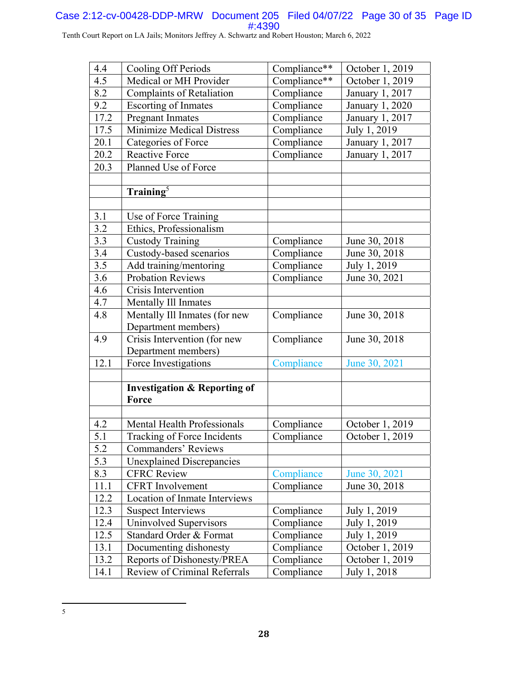#### Case 2:12-cv-00428-DDP-MRW Document 205 Filed 04/07/22 Page 30 of 35 Page ID #:4390

Tenth Court Report on LA Jails; Monitors Jeffrey A. Schwartz and Robert Houston; March 6, 2022

| 4.4              | Cooling Off Periods                     | Compliance** | October 1, 2019 |
|------------------|-----------------------------------------|--------------|-----------------|
| 4.5              | Medical or MH Provider                  | Compliance** | October 1, 2019 |
| 8.2              | <b>Complaints of Retaliation</b>        | Compliance   | January 1, 2017 |
| 9.2              | <b>Escorting of Inmates</b>             | Compliance   | January 1, 2020 |
| 17.2             | <b>Pregnant Inmates</b>                 | Compliance   | January 1, 2017 |
| 17.5             | <b>Minimize Medical Distress</b>        | Compliance   | July 1, 2019    |
| 20.1             | Categories of Force                     | Compliance   | January 1, 2017 |
| 20.2             | <b>Reactive Force</b>                   | Compliance   | January 1, 2017 |
| 20.3             | Planned Use of Force                    |              |                 |
|                  |                                         |              |                 |
|                  | $\text{Training}^5$                     |              |                 |
|                  |                                         |              |                 |
| 3.1              | Use of Force Training                   |              |                 |
| 3.2              | Ethics, Professionalism                 |              |                 |
| 3.3              | <b>Custody Training</b>                 | Compliance   | June 30, 2018   |
| 3.4              | Custody-based scenarios                 | Compliance   | June 30, 2018   |
| $\overline{3.5}$ | Add training/mentoring                  | Compliance   | July 1, 2019    |
| 3.6              | <b>Probation Reviews</b>                | Compliance   | June 30, 2021   |
| 4.6              | Crisis Intervention                     |              |                 |
| 4.7              | Mentally Ill Inmates                    |              |                 |
| 4.8              | Mentally Ill Inmates (for new           | Compliance   | June 30, 2018   |
|                  | Department members)                     |              |                 |
| 4.9              | Crisis Intervention (for new            | Compliance   | June 30, 2018   |
|                  | Department members)                     |              |                 |
| 12.1             | Force Investigations                    | Compliance   | June 30, 2021   |
|                  |                                         |              |                 |
|                  | <b>Investigation &amp; Reporting of</b> |              |                 |
|                  | Force                                   |              |                 |
|                  |                                         |              |                 |
| 4.2              | Mental Health Professionals             | Compliance   | October 1, 2019 |
| 5.1              | Tracking of Force Incidents             | Compliance   | October 1, 2019 |
| 5.2              | Commanders' Reviews                     |              |                 |
| 5.3              | <b>Unexplained Discrepancies</b>        |              |                 |
| 8.3              | <b>CFRC Review</b>                      | Compliance   | June 30, 2021   |
| 11.1             | <b>CFRT</b> Involvement                 | Compliance   | June 30, 2018   |
| 12.2             | <b>Location of Inmate Interviews</b>    |              |                 |
| 12.3             | <b>Suspect Interviews</b>               | Compliance   | July 1, 2019    |
| 12.4             | Uninvolved Supervisors                  | Compliance   | July 1, 2019    |
| 12.5             | Standard Order & Format                 | Compliance   | July 1, 2019    |
| 13.1             | Documenting dishonesty                  | Compliance   | October 1, 2019 |
| 13.2             | Reports of Dishonesty/PREA              | Compliance   | October 1, 2019 |
| 14.1             | Review of Criminal Referrals            | Compliance   | July 1, 2018    |

 $\overline{a}$ 5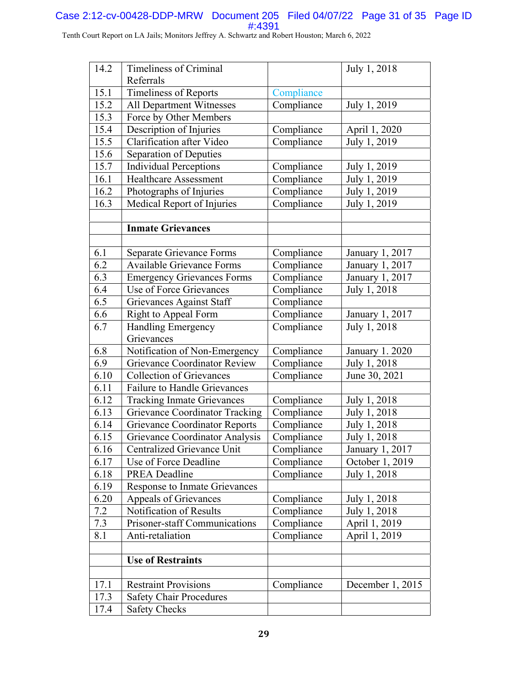### Case 2:12-cv-00428-DDP-MRW Document 205 Filed 04/07/22 Page 31 of 35 Page ID #:4391

Tenth Court Report on LA Jails; Monitors Jeffrey A. Schwartz and Robert Houston; March 6, 2022

| 14.2 | <b>Timeliness of Criminal</b>         |            | July 1, 2018          |
|------|---------------------------------------|------------|-----------------------|
|      | Referrals                             |            |                       |
| 15.1 | <b>Timeliness of Reports</b>          | Compliance |                       |
| 15.2 | <b>All Department Witnesses</b>       | Compliance | July 1, 2019          |
| 15.3 | Force by Other Members                |            |                       |
| 15.4 | Description of Injuries               | Compliance | April 1, 2020         |
| 15.5 | Clarification after Video             | Compliance | July 1, 2019          |
| 15.6 | Separation of Deputies                |            |                       |
| 15.7 | <b>Individual Perceptions</b>         | Compliance | July 1, 2019          |
| 16.1 | <b>Healthcare Assessment</b>          | Compliance | July 1, 2019          |
| 16.2 | Photographs of Injuries               | Compliance | July 1, 2019          |
| 16.3 | Medical Report of Injuries            | Compliance | July 1, 2019          |
|      |                                       |            |                       |
|      | <b>Inmate Grievances</b>              |            |                       |
| 6.1  | Separate Grievance Forms              | Compliance | January 1, 2017       |
| 6.2  | <b>Available Grievance Forms</b>      | Compliance | January 1, 2017       |
| 6.3  | <b>Emergency Grievances Forms</b>     | Compliance | January 1, 2017       |
| 6.4  | Use of Force Grievances               | Compliance | July 1, 2018          |
| 6.5  | Grievances Against Staff              | Compliance |                       |
| 6.6  | <b>Right to Appeal Form</b>           | Compliance | January 1, 2017       |
| 6.7  | <b>Handling Emergency</b>             | Compliance | July 1, 2018          |
|      | Grievances                            |            |                       |
| 6.8  | Notification of Non-Emergency         | Compliance | <b>January 1.2020</b> |
| 6.9  | <b>Grievance Coordinator Review</b>   | Compliance | July 1, 2018          |
| 6.10 | <b>Collection of Grievances</b>       | Compliance | June 30, 2021         |
| 6.11 | Failure to Handle Grievances          |            |                       |
| 6.12 | <b>Tracking Inmate Grievances</b>     | Compliance | July 1, 2018          |
| 6.13 | <b>Grievance Coordinator Tracking</b> | Compliance | July 1, 2018          |
| 6.14 | <b>Grievance Coordinator Reports</b>  | Compliance | July 1, 2018          |
| 6.15 | <b>Grievance Coordinator Analysis</b> | Compliance | July 1, 2018          |
| 6.16 | Centralized Grievance Unit            | Compliance | January 1, 2017       |
| 6.17 | Use of Force Deadline                 | Compliance | October 1, 2019       |
| 6.18 | <b>PREA Deadline</b>                  | Compliance | July 1, 2018          |
| 6.19 | <b>Response to Inmate Grievances</b>  |            |                       |
| 6.20 | Appeals of Grievances                 | Compliance | July 1, 2018          |
| 7.2  | Notification of Results               | Compliance | July 1, 2018          |
| 7.3  | Prisoner-staff Communications         | Compliance | April 1, 2019         |
| 8.1  | Anti-retaliation                      | Compliance | April 1, 2019         |
|      | <b>Use of Restraints</b>              |            |                       |
|      |                                       |            |                       |
| 17.1 | <b>Restraint Provisions</b>           | Compliance | December 1, 2015      |
| 17.3 | <b>Safety Chair Procedures</b>        |            |                       |
| 17.4 | <b>Safety Checks</b>                  |            |                       |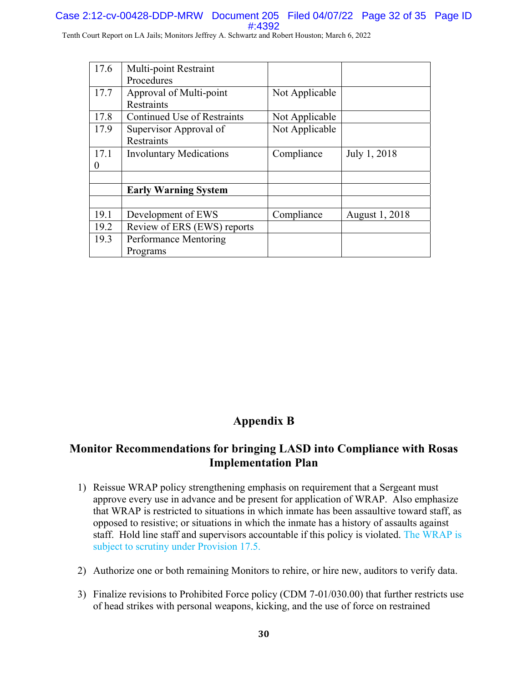### Case 2:12-cv-00428-DDP-MRW Document 205 Filed 04/07/22 Page 32 of 35 Page ID #:4392

Tenth Court Report on LA Jails; Monitors Jeffrey A. Schwartz and Robert Houston; March 6, 2022

| 17.6 | Multi-point Restraint              |                |                |
|------|------------------------------------|----------------|----------------|
|      | Procedures                         |                |                |
| 17.7 | Approval of Multi-point            | Not Applicable |                |
|      | <b>Restraints</b>                  |                |                |
| 17.8 | <b>Continued Use of Restraints</b> | Not Applicable |                |
| 17.9 | Supervisor Approval of             | Not Applicable |                |
|      | <b>Restraints</b>                  |                |                |
| 17.1 | <b>Involuntary Medications</b>     | Compliance     | July 1, 2018   |
| 0    |                                    |                |                |
|      |                                    |                |                |
|      | <b>Early Warning System</b>        |                |                |
|      |                                    |                |                |
| 19.1 | Development of EWS                 | Compliance     | August 1, 2018 |
| 19.2 | Review of ERS (EWS) reports        |                |                |
| 19.3 | Performance Mentoring              |                |                |
|      | Programs                           |                |                |

# **Appendix B**

# **Monitor Recommendations for bringing LASD into Compliance with Rosas Implementation Plan**

- 1) Reissue WRAP policy strengthening emphasis on requirement that a Sergeant must approve every use in advance and be present for application of WRAP. Also emphasize that WRAP is restricted to situations in which inmate has been assaultive toward staff, as opposed to resistive; or situations in which the inmate has a history of assaults against staff. Hold line staff and supervisors accountable if this policy is violated. The WRAP is subject to scrutiny under Provision 17.5.
- 2) Authorize one or both remaining Monitors to rehire, or hire new, auditors to verify data.
- 3) Finalize revisions to Prohibited Force policy (CDM 7-01/030.00) that further restricts use of head strikes with personal weapons, kicking, and the use of force on restrained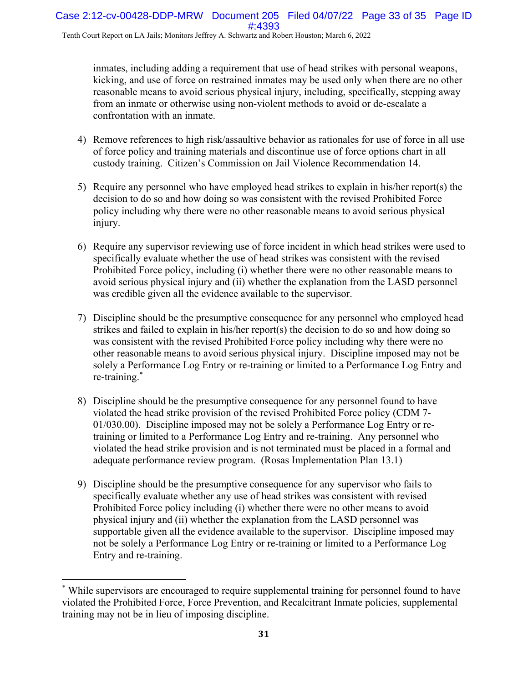inmates, including adding a requirement that use of head strikes with personal weapons, kicking, and use of force on restrained inmates may be used only when there are no other reasonable means to avoid serious physical injury, including, specifically, stepping away from an inmate or otherwise using non-violent methods to avoid or de-escalate a confrontation with an inmate.

- 4) Remove references to high risk/assaultive behavior as rationales for use of force in all use of force policy and training materials and discontinue use of force options chart in all custody training. Citizen's Commission on Jail Violence Recommendation 14.
- 5) Require any personnel who have employed head strikes to explain in his/her report(s) the decision to do so and how doing so was consistent with the revised Prohibited Force policy including why there were no other reasonable means to avoid serious physical injury.
- 6) Require any supervisor reviewing use of force incident in which head strikes were used to specifically evaluate whether the use of head strikes was consistent with the revised Prohibited Force policy, including (i) whether there were no other reasonable means to avoid serious physical injury and (ii) whether the explanation from the LASD personnel was credible given all the evidence available to the supervisor.
- 7) Discipline should be the presumptive consequence for any personnel who employed head strikes and failed to explain in his/her report(s) the decision to do so and how doing so was consistent with the revised Prohibited Force policy including why there were no other reasonable means to avoid serious physical injury. Discipline imposed may not be solely a Performance Log Entry or re-training or limited to a Performance Log Entry and re-training.\*
- 8) Discipline should be the presumptive consequence for any personnel found to have violated the head strike provision of the revised Prohibited Force policy (CDM 7- 01/030.00). Discipline imposed may not be solely a Performance Log Entry or retraining or limited to a Performance Log Entry and re-training. Any personnel who violated the head strike provision and is not terminated must be placed in a formal and adequate performance review program. (Rosas Implementation Plan 13.1)
- 9) Discipline should be the presumptive consequence for any supervisor who fails to specifically evaluate whether any use of head strikes was consistent with revised Prohibited Force policy including (i) whether there were no other means to avoid physical injury and (ii) whether the explanation from the LASD personnel was supportable given all the evidence available to the supervisor. Discipline imposed may not be solely a Performance Log Entry or re-training or limited to a Performance Log Entry and re-training.

 $\overline{a}$ 

<sup>\*</sup> While supervisors are encouraged to require supplemental training for personnel found to have violated the Prohibited Force, Force Prevention, and Recalcitrant Inmate policies, supplemental training may not be in lieu of imposing discipline.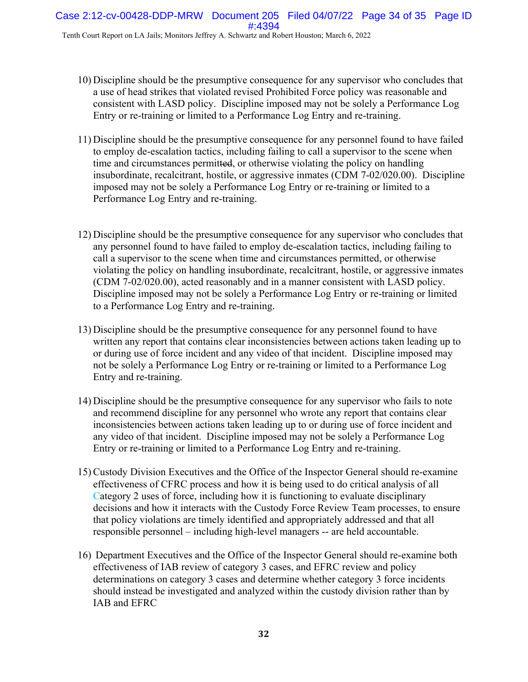- 10) Discipline should be the presumptive consequence for any supervisor who concludes that a use of head strikes that violated revised Prohibited Force policy was reasonable and consistent with LASD policy. Discipline imposed may not be solely a Performance Log Entry or re-training or limited to a Performance Log Entry and re-training.
- 11) Discipline should be the presumptive consequence for any personnel found to have failed to employ de-escalation tactics, including failing to call a supervisor to the scene when time and circumstances permitted, or otherwise violating the policy on handling insubordinate, recalcitrant, hostile, or aggressive inmates (CDM 7-02/020.00). Discipline imposed may not be solely a Performance Log Entry or re-training or limited to a Performance Log Entry and re-training.
- 12) Discipline should be the presumptive consequence for any supervisor who concludes that any personnel found to have failed to employ de-escalation tactics, including failing to call a supervisor to the scene when time and circumstances permitted, or otherwise violating the policy on handling insubordinate, recalcitrant, hostile, or aggressive inmates (CDM 7-02/020.00), acted reasonably and in a manner consistent with LASD policy. Discipline imposed may not be solely a Performance Log Entry or re-training or limited to a Performance Log Entry and re-training.
- 13) Discipline should be the presumptive consequence for any personnel found to have written any report that contains clear inconsistencies between actions taken leading up to or during use of force incident and any video of that incident. Discipline imposed may not be solely a Performance Log Entry or re-training or limited to a Performance Log Entry and re-training.
- 14) Discipline should be the presumptive consequence for any supervisor who fails to note and recommend discipline for any personnel who wrote any report that contains clear inconsistencies between actions taken leading up to or during use of force incident and any video of that incident. Discipline imposed may not be solely a Performance Log Entry or re-training or limited to a Performance Log Entry and re-training.
- 15) Custody Division Executives and the Office of the Inspector General should re-examine effectiveness of CFRC process and how it is being used to do critical analysis of all Category 2 uses of force, including how it is functioning to evaluate disciplinary decisions and how it interacts with the Custody Force Review Team processes, to ensure that policy violations are timely identified and appropriately addressed and that all responsible personnel – including high-level managers -- are held accountable.
- 16) Department Executives and the Office of the Inspector General should re-examine both effectiveness of IAB review of category 3 cases, and EFRC review and policy determinations on category 3 cases and determine whether category 3 force incidents should instead be investigated and analyzed within the custody division rather than by IAB and EFRC